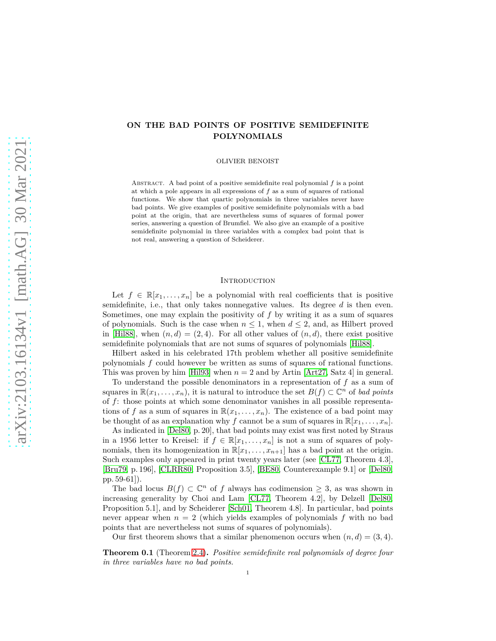# **ON THE BAD POINTS OF POSITIVE SEMIDEFINITE POLYNOMIALS**

OLIVIER BENOIST

ABSTRACT. A bad point of a positive semidefinite real polynomial  $f$  is a point at which a pole appears in all expressions of *f* as a sum of squares of rational functions. We show that quartic polynomials in three variables never have bad points. We give examples of positive semidefinite polynomials with a bad point at the origin, that are nevertheless sums of squares of formal power series, answering a question of Brumfiel. We also give an example of a positive semidefinite polynomial in three variables with a complex bad point that is not real, answering a question of Scheiderer.

### **INTRODUCTION**

Let  $f \in \mathbb{R}[x_1,\ldots,x_n]$  be a polynomial with real coefficients that is positive semidefinite, i.e., that only takes nonnegative values. Its degree *d* is then even. Sometimes, one may explain the positivity of *f* by writing it as a sum of squares of polynomials. Such is the case when  $n \leq 1$ , when  $d \leq 2$ , and, as Hilbert proved in [\[Hil88\]](#page-19-0), when  $(n, d) = (2, 4)$ . For all other values of  $(n, d)$ , there exist positive semidefinite polynomials that are not sums of squares of polynomials [\[Hil88\]](#page-19-0).

Hilbert asked in his celebrated 17th problem whether all positive semidefinite polynomials *f* could however be written as sums of squares of rational functions. This was proven by him [\[Hil93\]](#page-19-1) when  $n = 2$  and by Artin [\[Art27,](#page-18-0) Satz 4] in general.

To understand the possible denominators in a representation of *f* as a sum of squares in  $\mathbb{R}(x_1, \ldots, x_n)$ , it is natural to introduce the set  $B(f) \subset \mathbb{C}^n$  of *bad points* of *f*: those points at which some denominator vanishes in all possible representations of f as a sum of squares in  $\mathbb{R}(x_1, \ldots, x_n)$ . The existence of a bad point may be thought of as an explanation why *f* cannot be a sum of squares in  $\mathbb{R}[x_1, \ldots, x_n]$ .

As indicated in [\[Del80,](#page-19-2) p. 20], that bad points may exist was first noted by Straus in a 1956 letter to Kreisel: if  $f \in \mathbb{R}[x_1, \ldots, x_n]$  is not a sum of squares of polynomials, then its homogenization in  $\mathbb{R}[x_1, \ldots, x_{n+1}]$  has a bad point at the origin. Such examples only appeared in print twenty years later (see [\[CL77,](#page-19-3) Theorem 4.3], [\[Bru79,](#page-19-4) p. 196], [\[CLRR80,](#page-19-5) Proposition 3.5], [\[BE80,](#page-18-1) Counterexample 9.1] or [\[Del80,](#page-19-2) pp. 59-61]).

The bad locus  $B(f) \subset \mathbb{C}^n$  of *f* always has codimension  $\geq 3$ , as was shown in increasing generality by Choi and Lam [\[CL77,](#page-19-3) Theorem 4.2], by Delzell [\[Del80,](#page-19-2) Proposition 5.1], and by Scheiderer [\[Sch01,](#page-19-6) Theorem 4.8]. In particular, bad points never appear when  $n = 2$  (which yields examples of polynomials f with no bad points that are nevertheless not sums of squares of polynomials).

Our first theorem shows that a similar phenomenon occurs when  $(n, d) = (3, 4)$ .

**Theorem 0.1** (Theorem [2.4\)](#page-5-0)**.** *Positive semidefinite real polynomials of degree four in three variables have no bad points.*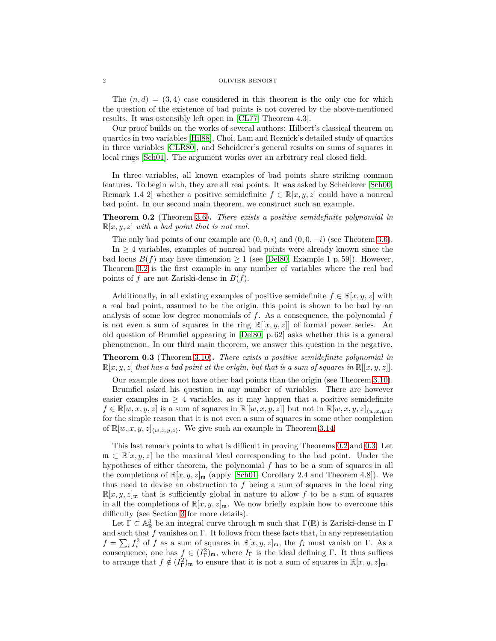The  $(n, d) = (3, 4)$  case considered in this theorem is the only one for which the question of the existence of bad points is not covered by the above-mentioned results. It was ostensibly left open in [\[CL77,](#page-19-3) Theorem 4.3].

Our proof builds on the works of several authors: Hilbert's classical theorem on quartics in two variables [\[Hil88\]](#page-19-0), Choi, Lam and Reznick's detailed study of quartics in three variables [\[CLR80\]](#page-19-7), and Scheiderer's general results on sums of squares in local rings [\[Sch01\]](#page-19-6). The argument works over an arbitrary real closed field.

In three variables, all known examples of bad points share striking common features. To begin with, they are all real points. It was asked by Scheiderer [\[Sch00,](#page-19-8) Remark 1.4 2 whether a positive semidefinite  $f \in \mathbb{R}[x, y, z]$  could have a nonreal bad point. In our second main theorem, we construct such an example.

<span id="page-1-0"></span>**Theorem 0.2** (Theorem [3.6\)](#page-8-0)**.** *There exists a positive semidefinite polynomial in*  $\mathbb{R}[x, y, z]$  *with a bad point that is not real.* 

The only bad points of our example are  $(0,0,i)$  and  $(0,0,-i)$  (see Theorem [3.6\)](#page-8-0).

In  $\geq$  4 variables, examples of nonreal bad points were already known since the bad locus  $B(f)$  may have dimension  $\geq 1$  (see [\[Del80,](#page-19-2) Example 1 p. 59]). However, Theorem [0.2](#page-1-0) is the first example in any number of variables where the real bad points of *f* are not Zariski-dense in *B*(*f*).

Additionally, in all existing examples of positive semidefinite  $f \in \mathbb{R}[x, y, z]$  with a real bad point, assumed to be the origin, this point is shown to be bad by an analysis of some low degree monomials of *f*. As a consequence, the polynomial *f* is not even a sum of squares in the ring  $\mathbb{R}[[x, y, z]]$  of formal power series. An old question of Brumfiel appearing in [\[Del80,](#page-19-2) p. 62] asks whether this is a general phenomenon. In our third main theorem, we answer this question in the negative.

<span id="page-1-1"></span>**Theorem 0.3** (Theorem [3.10\)](#page-13-0)**.** *There exists a positive semidefinite polynomial in*  $\mathbb{R}[x, y, z]$  that has a bad point at the origin, but that is a sum of squares in  $\mathbb{R}[[x, y, z]]$ .

Our example does not have other bad points than the origin (see Theorem [3.10\)](#page-13-0).

Brumfiel asked his question in any number of variables. There are however easier examples in  $\geq 4$  variables, as it may happen that a positive semidefinite  $f \in \mathbb{R}[w, x, y, z]$  is a sum of squares in  $\mathbb{R}[[w, x, y, z]]$  but not in  $\mathbb{R}[w, x, y, z]_{\langle w, x, y, z \rangle}$ for the simple reason that it is not even a sum of squares in some other completion of  $\mathbb{R}[w, x, y, z]_{\langle w, x, y, z \rangle}$ . We give such an example in Theorem [3.14.](#page-16-0)

This last remark points to what is difficult in proving Theorems [0.2](#page-1-0) and [0.3.](#page-1-1) Let  $\mathfrak{m} \subset \mathbb{R}[x, y, z]$  be the maximal ideal corresponding to the bad point. Under the hypotheses of either theorem, the polynomial *f* has to be a sum of squares in all the completions of  $\mathbb{R}[x, y, z]_{\mathfrak{m}}$  (apply [\[Sch01,](#page-19-6) Corollary 2.4 and Theorem 4.8]). We thus need to devise an obstruction to *f* being a sum of squares in the local ring  $\mathbb{R}[x, y, z]_{\mathfrak{m}}$  that is sufficiently global in nature to allow f to be a sum of squares in all the completions of  $\mathbb{R}[x, y, z]_{\mathfrak{m}}$ . We now briefly explain how to overcome this difficulty (see Section [3](#page-6-0) for more details).

Let  $\Gamma \subset \mathbb{A}^3_{\mathbb{R}}$  be an integral curve through  $\mathfrak{m}$  such that  $\Gamma(\mathbb{R})$  is Zariski-dense in  $\Gamma$ and such that *f* vanishes on Γ. It follows from these facts that, in any representation  $f = \sum_i f_i^2$  of *f* as a sum of squares in  $\mathbb{R}[x, y, z]_{\mathfrak{m}}$ , the  $f_i$  must vanish on Γ. As a consequence, one has  $f \in (I_{\Gamma}^2)_{\mathfrak{m}}$ , where  $I_{\Gamma}$  is the ideal defining  $\Gamma$ . It thus suffices to arrange that  $f \notin (I_{\Gamma}^2)_{\mathfrak{m}}$  to ensure that it is not a sum of squares in  $\mathbb{R}[x, y, z]_{\mathfrak{m}}$ .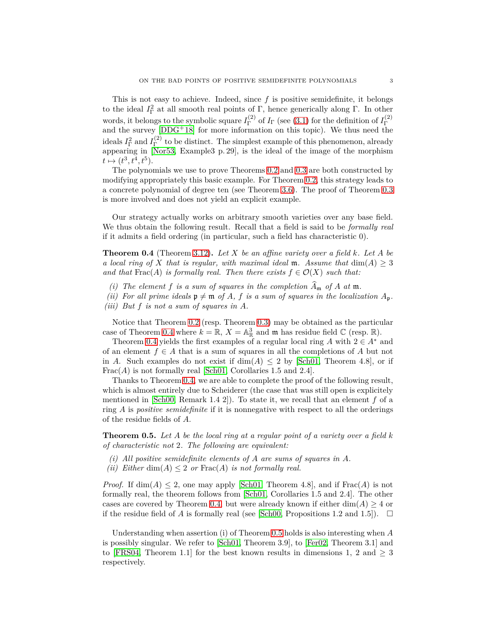This is not easy to achieve. Indeed, since  $f$  is positive semidefinite, it belongs to the ideal  $I_{\Gamma}^2$  at all smooth real points of Γ, hence generically along Γ. In other words, it belongs to the symbolic square  $I_{\Gamma}^{(2)}$  $I_{\Gamma}^{(2)}$  of  $I_{\Gamma}$  (see [\(3.1\)](#page-6-1) for the definition of  $I_{\Gamma}^{(2)}$ words, it belongs to the symbolic square  $T_{\Gamma}$  or  $T_{\Gamma}$  (see (5.1) for the definition of  $T_{\Gamma}$  and the survey [\[DDG](#page-19-9)<sup>+</sup>18] for more information on this topic). We thus need the ideals  $I_{\Gamma}^2$  and  $I_{\Gamma}^{(2)}$  $T<sup>(2)</sup>$  to be distinct. The simplest example of this phenomenon, already appearing in [\[Nor53,](#page-19-10) Example3 p. 29], is the ideal of the image of the morphism  $t \mapsto (t^3, t^4, t^5)$ .

The polynomials we use to prove Theorems [0.2](#page-1-0) and [0.3](#page-1-1) are both constructed by modifying appropriately this basic example. For Theorem [0.2,](#page-1-0) this strategy leads to a concrete polynomial of degree ten (see Theorem [3.6\)](#page-8-0). The proof of Theorem [0.3](#page-1-1) is more involved and does not yield an explicit example.

Our strategy actually works on arbitrary smooth varieties over any base field. We thus obtain the following result. Recall that a field is said to be *formally real* if it admits a field ordering (in particular, such a field has characteristic 0).

<span id="page-2-0"></span>**Theorem 0.4** (Theorem [3.12\)](#page-13-1)**.** *Let X be an affine variety over a field k. Let A be a local ring of X that is regular, with maximal ideal* **m***. Assume that*  $\dim(A) > 3$ *and that*  $\text{Frac}(A)$  *is formally real. Then there exists*  $f \in \mathcal{O}(X)$  *such that:* 

- *(i)* The element f is a sum of squares in the completion  $\widehat{A}_{m}$  of A at m.
- *(ii)* For all prime ideals  $p \neq m$  of A, f is a sum of squares in the localization  $A_p$ .
- *(iii) But f is not a sum of squares in A.*

Notice that Theorem [0.2](#page-1-0) (resp. Theorem [0.3\)](#page-1-1) may be obtained as the particular case of Theorem [0.4](#page-2-0) where  $k = \mathbb{R}$ ,  $X = \mathbb{A}_{\mathbb{R}}^3$  and  $\mathfrak{m}$  has residue field  $\mathbb{C}$  (resp.  $\mathbb{R}$ ).

Theorem [0.4](#page-2-0) yields the first examples of a regular local ring  $A$  with  $2 \in A^*$  and of an element  $f \in A$  that is a sum of squares in all the completions of A but not in *A*. Such examples do not exist if  $\dim(A) \leq 2$  by [\[Sch01,](#page-19-6) Theorem 4.8], or if Frac(*A*) is not formally real [\[Sch01,](#page-19-6) Corollaries 1.5 and 2.4].

Thanks to Theorem [0.4,](#page-2-0) we are able to complete the proof of the following result, which is almost entirely due to Scheiderer (the case that was still open is explicitely mentioned in [\[Sch00,](#page-19-8) Remark 1.4 2]). To state it, we recall that an element  $f$  of a ring *A* is *positive semidefinite* if it is nonnegative with respect to all the orderings of the residue fields of *A*.

<span id="page-2-1"></span>**Theorem 0.5.** *Let A be the local ring at a regular point of a variety over a field k of characteristic not* 2*. The following are equivalent:*

- *(i) All positive semidefinite elements of A are sums of squares in A.*
- *(ii)* Either  $dim(A) \leq 2$  or  $Frac(A)$  *is not formally real.*

*Proof.* If  $\dim(A) \leq 2$ , one may apply [\[Sch01,](#page-19-6) Theorem 4.8], and if Frac $(A)$  is not formally real, the theorem follows from [\[Sch01,](#page-19-6) Corollaries 1.5 and 2.4]. The other cases are covered by Theorem [0.4,](#page-2-0) but were already known if either  $\dim(A) \geq 4$  or if the residue field of *A* is formally real (see [\[Sch00,](#page-19-8) Propositions 1.2 and 1.5]).  $\Box$ 

Understanding when assertion (i) of Theorem [0.5](#page-2-1) holds is also interesting when *A* is possibly singular. We refer to [\[Sch01,](#page-19-6) Theorem 3.9], to [\[Fer02,](#page-19-11) Theorem 3.1] and to [\[FRS04,](#page-19-12) Theorem 1.1] for the best known results in dimensions 1, 2 and  $\geq$  3 respectively.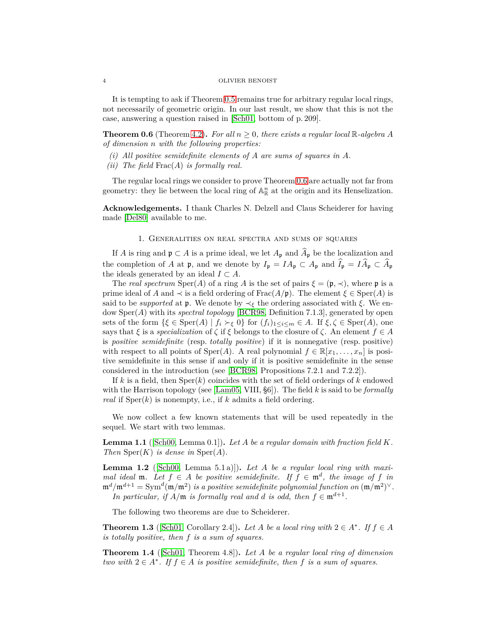It is tempting to ask if Theorem [0.5](#page-2-1) remains true for arbitrary regular local rings, not necessarily of geometric origin. In our last result, we show that this is not the case, answering a question raised in [\[Sch01,](#page-19-6) bottom of p. 209].

<span id="page-3-0"></span>**Theorem 0.6** (Theorem [4.2\)](#page-18-2). For all  $n \geq 0$ , there exists a regular local R-algebra A *of dimension n with the following properties:*

- *(i) All positive semidefinite elements of A are sums of squares in A.*
- *(ii) The field* Frac(*A*) *is formally real.*

The regular local rings we consider to prove Theorem [0.6](#page-3-0) are actually not far from geometry: they lie between the local ring of  $\mathbb{A}^n_{\mathbb{R}}$  at the origin and its Henselization.

**Acknowledgements.** I thank Charles N. Delzell and Claus Scheiderer for having made [\[Del80\]](#page-19-2) available to me.

## 1. Generalities on real spectra and sums of squares

If *A* is ring and  $\mathfrak{p} \subset A$  is a prime ideal, we let  $A_{\mathfrak{p}}$  and  $\widehat{A}_{\mathfrak{p}}$  be the localization and the completion of *A* at **p**, and we denote by  $I_p = IA_p \subset A_p$  and  $\hat{I_p} = I\hat{A_p} \subset \hat{A_p}$ the ideals generated by an ideal  $I \subset A$ .

The *real spectrum* Sper(*A*) of a ring *A* is the set of pairs  $\xi = (\mathfrak{p}, \prec)$ , where  $\mathfrak{p}$  is a prime ideal of *A* and  $\prec$  is a field ordering of Frac( $A/\mathfrak{p}$ ). The element  $\xi \in \text{Sper}(A)$  is said to be *supported* at **p**. We denote by  $\prec_{\xi}$  the ordering associated with  $\xi$ . We endow Sper(*A*) with its *spectral topology* [\[BCR98,](#page-18-3) Definition 7.1.3], generated by open sets of the form  $\{\xi \in \text{Sper}(A) \mid f_i \succ_{\xi} 0\}$  for  $(f_i)_{1 \leq i \leq m} \in A$ . If  $\xi, \zeta \in \text{Sper}(A)$ , one says that  $\xi$  is a *specialization* of  $\zeta$  if  $\xi$  belongs to the closure of  $\zeta$ . An element  $f \in A$ is *positive semidefinite* (resp. *totally positive*) if it is nonnegative (resp. positive) with respect to all points of  $Sper(A)$ . A real polynomial  $f \in \mathbb{R}[x_1, \ldots, x_n]$  is positive semidefinite in this sense if and only if it is positive semidefinite in the sense considered in the introduction (see [\[BCR98,](#page-18-3) Propositions 7.2.1 and 7.2.2]).

If *k* is a field, then Sper(*k*) coincides with the set of field orderings of *k* endowed with the Harrison topology (see [\[Lam05,](#page-19-13) VIII, §6]). The field *k* is said to be *formally real* if  $Sper(k)$  is nonempty, i.e., if  $k$  admits a field ordering.

We now collect a few known statements that will be used repeatedly in the sequel. We start with two lemmas.

<span id="page-3-4"></span>**Lemma 1.1** ([\[Sch00,](#page-19-8) Lemma 0.1])**.** *Let A be a regular domain with fraction field K. Then*  $Sper(K)$  *is dense in*  $Sper(A)$ *.* 

<span id="page-3-1"></span>**Lemma 1.2** ([\[Sch00,](#page-19-8) Lemma 5.1 a)])**.** *Let A be a regular local ring with maximal ideal* **m**. Let  $f \in A$  *be positive semidefinite.* If  $f \in \mathfrak{m}^d$ , the image of f in  $\mathfrak{m}^d/\mathfrak{m}^{d+1} = \text{Sym}^d(\mathfrak{m}/\mathfrak{m}^2)$  *is a positive semidefinite polynomial function on*  $(\mathfrak{m}/\mathfrak{m}^2)^\vee$ . *In particular, if*  $A/\mathfrak{m}$  *is formally real and d is odd, then*  $f \in \mathfrak{m}^{d+1}$ *.* 

The following two theorems are due to Scheiderer.

<span id="page-3-3"></span>**Theorem 1.3** ([\[Sch01,](#page-19-6) Corollary 2.4]). *Let A be a local ring with*  $2 \in A^*$ *. If*  $f \in A$ *is totally positive, then f is a sum of squares.*

<span id="page-3-2"></span>**Theorem 1.4** ([\[Sch01,](#page-19-6) Theorem 4.8])**.** *Let A be a regular local ring of dimension two with*  $2 ∈ A<sup>*</sup>$ *. If*  $f ∈ A$  *is positive semidefinite, then*  $f$  *is a sum of squares.*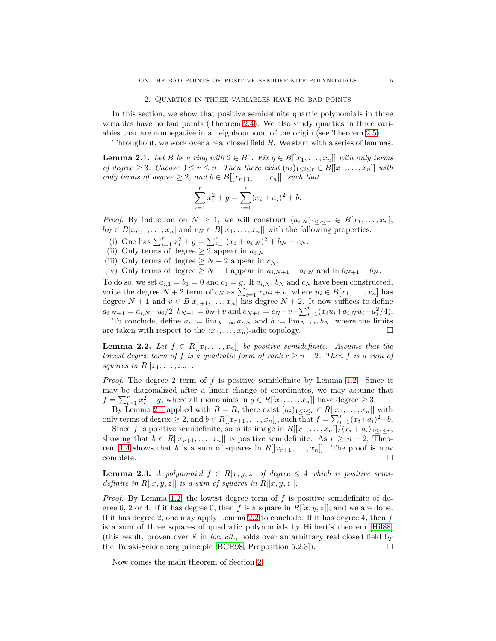### 2. Quartics in three variables have no bad points

<span id="page-4-2"></span>In this section, we show that positive semidefinite quartic polynomials in three variables have no bad points (Theorem [2.4\)](#page-5-0). We also study quartics in three variables that are nonnegative in a neighbourhood of the origin (see Theorem [2.5\)](#page-5-1).

Throughout, we work over a real closed field *R*. We start with a series of lemmas.

<span id="page-4-0"></span>**Lemma 2.1.** *Let B be a ring with*  $2 \in B^*$ *. Fix*  $g \in B[[x_1, \ldots, x_n]]$  *with only terms of degree* ≥ 3*. Choose*  $0 \le r \le n$ *. Then there exist*  $(a_i)_{1 \le i \le r}$  ∈  $B[[x_1, \ldots, x_n]]$  *with only terms of degree*  $\geq 2$ *, and*  $b \in B[[x_{r+1},...,x_n]],$  *such that* 

$$
\sum_{i=1}^{r} x_i^2 + g = \sum_{i=1}^{r} (x_i + a_i)^2 + b.
$$

*Proof.* By induction on  $N \geq 1$ , we will construct  $(a_{i,N})_{1 \leq i \leq r} \in B[x_1, \ldots, x_n]$ ,  $b_N \in B[x_{r+1}, \ldots, x_n]$  and  $c_N \in B[[x_1, \ldots, x_n]]$  with the following properties:

(i) One has  $\sum_{i=1}^{r} x_i^2 + g = \sum_{i=1}^{r} (x_i + a_{i,N})^2 + b_N + c_N$ .

(ii) Only terms of degree  $\geq 2$  appear in  $a_{i,N}$ .

(iii) Only terms of degree  $\geq N+2$  appear in  $c_N$ .

(iv) Only terms of degree  $\geq N+1$  appear in  $a_{i,N+1} - a_{i,N}$  and in  $b_{N+1} - b_N$ .

To do so, we set  $a_{i,1} = b_1 = 0$  and  $c_1 = g$ . If  $a_{i,N}$ ,  $b_N$  and  $c_N$  have been constructed, write the degree  $N + 2$  term of  $c_N$  as  $\sum_{i=1}^r x_i u_i + v$ , where  $u_i \in B[x_1, \ldots, x_n]$  has degree  $N + 1$  and  $v \in B[x_{r+1}, \ldots, x_n]$  has degree  $N + 2$ . It now suffices to define  $a_{i,N+1} = a_{i,N} + u_i/2$ ,  $b_{N+1} = b_N + v$  and  $c_{N+1} = c_N - v - \sum_{i=1}^r (x_i u_i + a_{i,N} u_i + u_i^2/4)$ .

To conclude, define  $a_i := \lim_{N \to \infty} a_{i,N}$  and  $b := \lim_{N \to \infty} b_N$ , where the limits are taken with respect to the  $\langle x_1, \ldots, x_n \rangle$ -adic topology.

<span id="page-4-1"></span>**Lemma 2.2.** *Let*  $f \in R[[x_1, \ldots, x_n]]$  *be positive semidefinite. Assume that the lowest degree term of*  $f$  *is a quadratic form of rank*  $r \geq n-2$ *. Then*  $f$  *is a sum of squares in*  $R[[x_1, \ldots, x_n]].$ 

*Proof.* The degree 2 term of f is positive semidefinite by Lemma [1.2.](#page-3-1) Since it may be diagonalized after a linear change of coordinates, we may assume that  $f = \sum_{i=1}^{r} x_i^2 + g$ , where all monomials in  $g \in R[[x_1, \ldots, x_n]]$  have degree  $\geq 3$ .

By Lemma [2.1](#page-4-0) applied with  $B = R$ , there exist  $(a_i)_{1 \leq i \leq r} \in R[[x_1, \ldots, x_n]]$  with only terms of degree  $\geq 2$ , and  $b \in R[[x_{r+1},...,x_n]],$  such that  $f = \sum_{i=1}^r (x_i + a_i)^2 + b$ .

Since *f* is positive semidefinite, so is its image in  $R[[x_1, \ldots, x_n]]/(x_i + a_i)_{1 \leq i \leq r}$ , showing that  $b \in R[[x_{r+1}, \ldots, x_n]]$  is positive semidefinite. As  $r \geq n-2$ , Theo-rem [1.4](#page-3-2) shows that *b* is a sum of squares in  $R[[x_{r+1},...,x_n]]$ . The proof is now complete.  $\Box$ 

<span id="page-4-3"></span>**Lemma 2.3.** *A polynomial*  $f \in R[x, y, z]$  *of degree*  $\leq 4$  *which is positive semidefinite in*  $R[[x, y, z]]$  *is a sum of squares in*  $R[[x, y, z]]$ *.* 

*Proof.* By Lemma [1.2,](#page-3-1) the lowest degree term of *f* is positive semidefinite of degree 0, 2 or 4. If it has degree 0, then f is a square in  $R[[x, y, z]]$ , and we are done. If it has degree 2, one may apply Lemma [2.2](#page-4-1) to conclude. If it has degree 4, then *f* is a sum of three squares of quadratic polynomials by Hilbert's theorem [\[Hil88\]](#page-19-0) (this result, proven over R in *loc*. *cit*., holds over an arbitrary real closed field by the Tarski-Seidenberg principle [\[BCR98,](#page-18-3) Proposition 5.2.3]).

Now comes the main theorem of Section [2.](#page-4-2)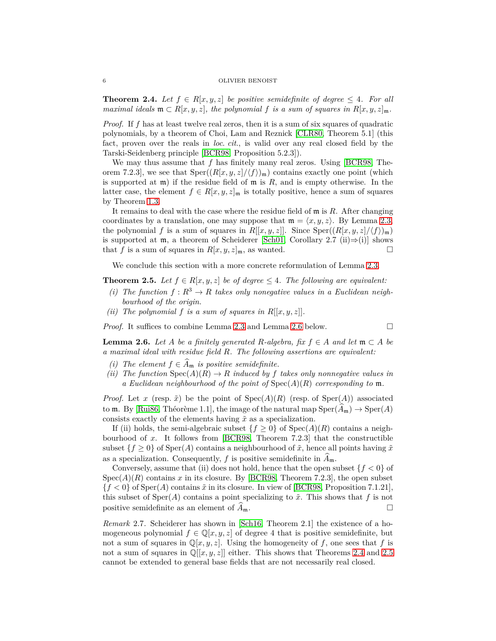<span id="page-5-0"></span>**Theorem 2.4.** Let  $f \in R[x, y, z]$  be positive semidefinite of degree  $\leq 4$ . For all *maximal ideals*  $\mathfrak{m} \subset R[x, y, z]$ *, the polynomial f is a sum of squares in*  $R[x, y, z]_{\mathfrak{m}}$ *.* 

*Proof.* If f has at least twelve real zeros, then it is a sum of six squares of quadratic polynomials, by a theorem of Choi, Lam and Reznick [\[CLR80,](#page-19-7) Theorem 5.1] (this fact, proven over the reals in *loc*. *cit*., is valid over any real closed field by the Tarski-Seidenberg principle [\[BCR98,](#page-18-3) Proposition 5.2.3]).

We may thus assume that *f* has finitely many real zeros. Using [\[BCR98,](#page-18-3) Theorem 7.2.3], we see that  $\text{Sper}((R[x, y, z]/\langle f \rangle)_{\mathfrak{m}})$  contains exactly one point (which is supported at m) if the residue field of m is *R*, and is empty otherwise. In the latter case, the element  $f \in R[x, y, z]_{m}$  is totally positive, hence a sum of squares by Theorem [1.3.](#page-3-3)

It remains to deal with the case where the residue field of m is *R*. After changing coordinates by a translation, one may suppose that  $\mathfrak{m} = \langle x, y, z \rangle$ . By Lemma [2.3,](#page-4-3) the polynomial f is a sum of squares in  $R[[x, y, z]]$ . Since  $Sper((R[x, y, z]/\langle f \rangle)_{\mathfrak{m}})$ is supported at  $m$ , a theorem of Scheiderer [\[Sch01,](#page-19-6) Corollary 2.7 (ii)⇒(i)] shows that *f* is a sum of squares in  $R[x, y, z]_{m}$ , as wanted.

We conclude this section with a more concrete reformulation of Lemma [2.3.](#page-4-3)

<span id="page-5-1"></span>**Theorem 2.5.** *Let*  $f \in R[x, y, z]$  *be of degree*  $\leq 4$ *. The following are equivalent:* 

- *(i)* The function  $f: R^3 \to R$  takes only nonegative values in a Euclidean neigh*bourhood of the origin.*
- *(ii)* The polynomial  $f$  *is a sum of squares in*  $R[[x, y, z]]$ *.*

*Proof.* It suffices to combine Lemma [2.3](#page-4-3) and Lemma [2.6](#page-5-2) below. □

<span id="page-5-2"></span>**Lemma 2.6.** *Let A be a finitely generated R*-algebra, fix  $f \in A$  and let  $\mathfrak{m} \subset A$  be *a maximal ideal with residue field R. The following assertions are equivalent:*

- *(i)* The element  $f \in \widehat{A}_{\mathfrak{m}}$  *is positive semidefinite.*
- *(ii)* The function  $Spec(A)(R) \rightarrow R$  *induced by f takes only nonnegative values in a Euclidean neighbourhood of the point of* Spec(*A*)(*R*) *corresponding to* m*.*

*Proof.* Let *x* (resp.  $\tilde{x}$ ) be the point of  $Spec(A)(R)$  (resp. of  $Spec(A))$ ) associated to m. By [\[Rui86,](#page-19-14) Théorème 1.1], the image of the natural map  $\text{Sper}(\hat{A}_{\mathfrak{m}}) \to \text{Sper}(A)$ consists exactly of the elements having ˜*x* as a specialization.

If (ii) holds, the semi-algebraic subset  ${f \geq 0}$  of  $Spec(A)(R)$  contains a neighbourhood of *x*. It follows from [\[BCR98,](#page-18-3) Theorem 7.2.3] that the constructible subset  ${f \geq 0}$  of Sper $(A)$  contains a neighbourhood of  $\tilde{x}$ , hence all points having  $\tilde{x}$ as a specialization. Consequently,  $f$  is positive semidefinite in  $A_{\mathfrak{m}}$ .

Conversely, assume that (ii) does not hold, hence that the open subset  ${f < 0}$  of  $Spec(A)(R)$  contains x in its closure. By [\[BCR98,](#page-18-3) Theorem 7.2.3], the open subset  ${f < 0}$  of Sper(*A*) contains  $\tilde{x}$  in its closure. In view of [\[BCR98,](#page-18-3) Proposition 7.1.21], this subset of  $Sper(A)$  contains a point specializing to  $\tilde{x}$ . This shows that f is not positive semidefinite as an element of  $A_{\mathfrak{m}}$ .

*Remark* 2.7*.* Scheiderer has shown in [\[Sch16,](#page-19-15) Theorem 2.1] the existence of a homogeneous polynomial  $f \in \mathbb{Q}[x, y, z]$  of degree 4 that is positive semidefinite, but not a sum of squares in  $\mathbb{Q}[x, y, z]$ . Using the homogeneity of *f*, one sees that *f* is not a sum of squares in  $\mathbb{Q}[[x, y, z]]$  either. This shows that Theorems [2.4](#page-5-0) and [2.5](#page-5-1) cannot be extended to general base fields that are not necessarily real closed.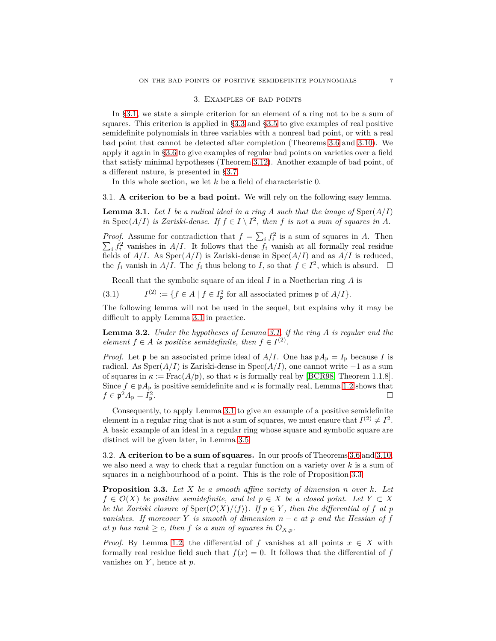#### 3. Examples of bad points

<span id="page-6-0"></span>In [§3.1,](#page-6-2) we state a simple criterion for an element of a ring not to be a sum of squares. This criterion is applied in [§3.3](#page-7-0) and [§3.5](#page-11-0) to give examples of real positive semidefinite polynomials in three variables with a nonreal bad point, or with a real bad point that cannot be detected after completion (Theorems [3.6](#page-8-0) and [3.10\)](#page-13-0). We apply it again in [§3.6](#page-13-2) to give examples of regular bad points on varieties over a field that satisfy minimal hypotheses (Theorem [3.12\)](#page-13-1). Another example of bad point, of a different nature, is presented in [§3.7.](#page-15-0)

In this whole section, we let *k* be a field of characteristic 0.

<span id="page-6-2"></span>3.1. **A criterion to be a bad point.** We will rely on the following easy lemma.

<span id="page-6-3"></span>**Lemma 3.1.** Let  $I$  be a radical ideal in a ring  $A$  such that the image of  $\text{Sper}(A/I)$ *in* Spec(*A*/*I*) *is Zariski-dense. If*  $f \in I \setminus I^2$ , *then f is not a sum of squares in A.* 

*Proof.* Assume for contradiction that  $f = \sum_i f_i^2$  is a sum of squares in *A*. Then  $\sum_i f_i^2$  vanishes in *A/I*. It follows that the  $f_i$  vanish at all formally real residue fields of  $A/I$ . As  $Sper(A/I)$  is Zariski-dense in  $Spec(A/I)$  and as  $A/I$  is reduced, the  $f_i$  vanish in  $A/I$ . The  $f_i$  thus belong to *I*, so that  $f \in I^2$ , which is absurd.  $\Box$ 

<span id="page-6-1"></span>Recall that the symbolic square of an ideal *I* in a Noetherian ring *A* is

 $(3.1)$ <sup>(2)</sup> := { $f \in A \mid f \in I_p^2$  for all associated primes **p** of  $A/I$ }.

The following lemma will not be used in the sequel, but explains why it may be difficult to apply Lemma [3.1](#page-6-3) in practice.

**Lemma 3.2.** *Under the hypotheses of Lemma [3.1,](#page-6-3) if the ring A is regular and the element*  $f \in A$  *is positive semidefinite, then*  $f \in I^{(2)}$ *.* 

*Proof.* Let **p** be an associated prime ideal of  $A/I$ . One has  $\mathfrak{p}A_{\mathfrak{p}} = I_{\mathfrak{p}}$  because *I* is radical. As Sper(*A/I*) is Zariski-dense in Spec(*A/I*), one cannot write −1 as a sum of squares in  $\kappa := \text{Frac}(A/\mathfrak{p})$ , so that  $\kappa$  is formally real by [\[BCR98,](#page-18-3) Theorem 1.1.8]. Since  $f \in \mathfrak{p}A_{\mathfrak{p}}$  is positive semidefinite and  $\kappa$  is formally real, Lemma [1.2](#page-3-1) shows that  $f \in \mathfrak{p}^2 A_{\mathfrak{p}} = I_{\mathfrak{p}}^2$ .

Consequently, to apply Lemma [3.1](#page-6-3) to give an example of a positive semidefinite element in a regular ring that is not a sum of squares, we must ensure that  $I^{(2)} \neq I^2$ . A basic example of an ideal in a regular ring whose square and symbolic square are distinct will be given later, in Lemma [3.5.](#page-7-1)

3.2. **A criterion to be a sum of squares.** In our proofs of Theorems [3.6](#page-8-0) and [3.10,](#page-13-0) we also need a way to check that a regular function on a variety over *k* is a sum of squares in a neighbourhood of a point. This is the role of Proposition [3.3.](#page-6-4)

<span id="page-6-4"></span>**Proposition 3.3.** *Let X be a smooth affine variety of dimension n over k. Let*  $f \in \mathcal{O}(X)$  *be positive semidefinite, and let*  $p \in X$  *be a closed point. Let*  $Y \subset X$ *be the Zariski closure of*  $\text{Sper}(\mathcal{O}(X)/\langle f \rangle)$ *. If*  $p \in Y$ *, then the differential of f at p vanishes.* If moreover *Y* is smooth of dimension  $n - c$  at p and the Hessian of f *at p has rank*  $\geq$  *c, then f is a sum of squares in*  $\mathcal{O}_{X,p}$ *.* 

*Proof.* By Lemma [1.2,](#page-3-1) the differential of *f* vanishes at all points  $x \in X$  with formally real residue field such that  $f(x) = 0$ . It follows that the differential of f vanishes on *Y* , hence at *p*.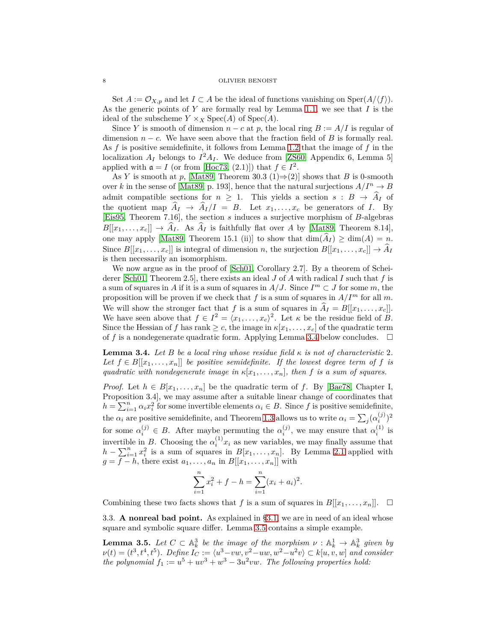Set  $A := \mathcal{O}_{X,p}$  and let  $I \subset A$  be the ideal of functions vanishing on  $\text{Sper}(A/\langle f \rangle)$ . As the generic points of *Y* are formally real by Lemma [1.1,](#page-3-4) we see that *I* is the ideal of the subscheme  $Y \times_X \text{Spec}(A)$  of  $\text{Spec}(A)$ .

Since *Y* is smooth of dimension  $n - c$  at *p*, the local ring  $B := A/I$  is regular of dimension  $n - c$ . We have seen above that the fraction field of *B* is formally real. As *f* is positive semidefinite, it follows from Lemma [1.2](#page-3-1) that the image of *f* in the localization  $A_I$  belongs to  $I^2A_I$ . We deduce from [\[ZS60,](#page-19-16) Appendix 6, Lemma 5] applied with  $\mathfrak{a} = I$  (or from [\[Hoc73,](#page-19-17) (2.1)]) that  $f \in I^2$ .

As *Y* is smooth at *p*, [\[Mat89,](#page-19-18) Theorem 30.3 (1) $\Rightarrow$  (2)] shows that *B* is 0-smooth over *k* in the sense of [\[Mat89,](#page-19-18) p. 193], hence that the natural surjections  $A/I^n \to B$ admit compatible sections for  $n \geq 1$ . This yields a section  $s : B \to \hat{A}_I$  of the quotient map  $\hat{A}_I \rightarrow \hat{A}_I/I = B$ . Let  $x_1, \ldots, x_c$  be generators of *I*. By [\[Eis95,](#page-19-19) Theorem 7.16], the section *s* induces a surjective morphism of *B*-algebras  $B[[x_1,\ldots,x_c]] \to \widehat{A}_I$ . As  $\widehat{A}_I$  is faithfully flat over *A* by [\[Mat89,](#page-19-18) Theorem 8.14], one may apply [\[Mat89,](#page-19-18) Theorem 15.1 (ii)] to show that  $\dim(\widehat{A}_I) \geq \dim(A) = n$ . Since  $B[[x_1,\ldots,x_c]]$  is integral of dimension *n*, the surjection  $B[[x_1,\ldots,x_c]] \to \widehat{A}_I$ is then necessarily an isomorphism.

We now argue as in the proof of [\[Sch01,](#page-19-6) Corollary 2.7]. By a theorem of Scheiderer [\[Sch01,](#page-19-6) Theorem 2.5], there exists an ideal *J* of *A* with radical *I* such that *f* is a sum of squares in *A* if it is a sum of squares in  $A/J$ . Since  $I^m \subset J$  for some m, the proposition will be proven if we check that  $f$  is a sum of squares in  $A/I^m$  for all  $m$ . We will show the stronger fact that *f* is a sum of squares in  $\hat{A}_I = B[[x_1, \ldots, x_c]]$ . We have seen above that  $f \in I^2 = \langle x_1, \ldots, x_c \rangle^2$ . Let  $\kappa$  be the residue field of *B*. Since the Hessian of *f* has rank  $\geq c$ , the image in  $\kappa[x_1,\ldots,x_c]$  of the quadratic term of f is a nondegenerate quadratic form. Applying Lemma [3.4](#page-7-2) below concludes.  $\square$ 

<span id="page-7-2"></span>**Lemma 3.4.** Let *B* be a local ring whose residue field  $\kappa$  is not of characteristic 2. *Let*  $f \in B[[x_1, \ldots, x_n]]$  *be positive semidefinite. If the lowest degree term of f is quadratic with nondegenerate image in*  $\kappa[x_1, \ldots, x_n]$ *, then f is a sum of squares.* 

*Proof.* Let  $h \in B[x_1, \ldots, x_n]$  be the quadratic term of *f*. By [\[Bae78,](#page-18-4) Chapter I, Proposition 3.4], we may assume after a suitable linear change of coordinates that  $h = \sum_{i=1}^{n} \alpha_i x_i^2$  for some invertible elements  $\alpha_i \in B$ . Since *f* is positive semidefinite, the  $\alpha_i$  are positive semidefinite, and Theorem [1.3](#page-3-3) allows us to write  $\alpha_i = \sum_j (\alpha_i^{(j)})$  $\binom{(j)}{i}$ <sup>2</sup> for some  $\alpha_i^{(j)} \in B$ . After maybe permuting the  $\alpha_i^{(j)}$ , we may ensure that  $\alpha_i^{(1)}$  is invertible in *B*. Choosing the  $\alpha_i^{(1)}x_i$  as new variables, we may finally assume that  $h - \sum_{i=1}^{n} x_i^2$  is a sum of squares in  $B[x_1, \ldots, x_n]$ . By Lemma [2.1](#page-4-0) applied with  $g = f - h$ , there exist  $a_1, \ldots, a_n$  in  $B[[x_1, \ldots, x_n]]$  with

$$
\sum_{i=1}^{n} x_i^2 + f - h = \sum_{i=1}^{n} (x_i + a_i)^2.
$$

<span id="page-7-0"></span>Combining these two facts shows that *f* is a sum of squares in  $B[[x_1, \ldots, x_n]]$ .  $\Box$ 

3.3. **A nonreal bad point.** As explained in [§3.1,](#page-6-2) we are in need of an ideal whose square and symbolic square differ. Lemma [3.5](#page-7-1) contains a simple example.

<span id="page-7-1"></span>**Lemma 3.5.** Let  $C \subset \mathbb{A}^3_k$  be the image of the morphism  $\nu : \mathbb{A}^1_k \to \mathbb{A}^3_k$  given by  $\nu(t) = (t^3, t^4, t^5)$ *. Define*  $I_C := \langle u^3 - vw, v^2 - uw, w^2 - u^2v \rangle \subset k[u, v, w]$  and consider *the polynomial*  $f_1 := u^5 + uv^3 + w^3 - 3u^2vw$ . *The following properties hold:*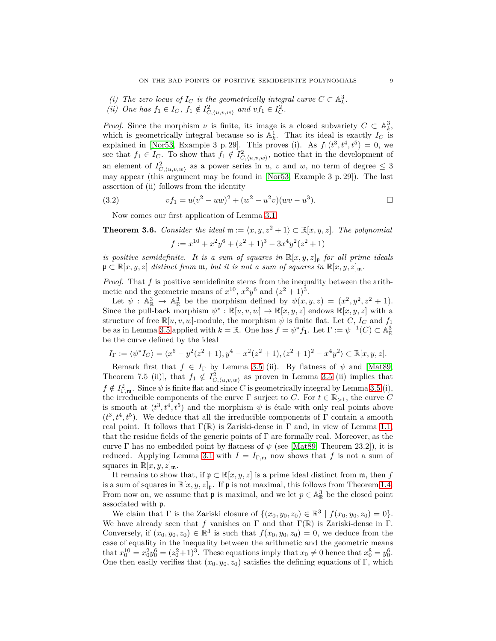- *(i)* The zero locus of  $I_C$  is the geometrically integral curve  $C \subset \mathbb{A}_k^3$ .
- *(ii) One has*  $f_1 \in I_C$ ,  $f_1 \notin I_{C,\langle u,v,w \rangle}^2$  *and*  $vf_1 \in I_C^2$ .

*Proof.* Since the morphism  $\nu$  is finite, its image is a closed subvariety  $C \subset \mathbb{A}_{k}^{3}$ , which is geometrically integral because so is  $\mathbb{A}_k^1$ . That its ideal is exactly  $I_C$  is explained in [\[Nor53,](#page-19-10) Example 3 p. 29]. This proves (i). As  $f_1(t^3, t^4, t^5) = 0$ , we see that  $f_1 \in I_C$ . To show that  $f_1 \notin I^2_{C, \langle u, v, w \rangle}$ , notice that in the development of an element of  $I_{C,\langle u,v,w\rangle}^2$  as a power series in *u*, *v* and *w*, no term of degree  $\leq 3$ may appear (this argument may be found in [\[Nor53,](#page-19-10) Example 3 p. 29]). The last assertion of (ii) follows from the identity

(3.2) 
$$
vf_1 = u(v^2 - uw)^2 + (w^2 - u^2v)(wv - u^3).
$$

<span id="page-8-1"></span>Now comes our first application of Lemma [3.1.](#page-6-3)

<span id="page-8-0"></span>**Theorem 3.6.** *Consider the ideal*  $\mathfrak{m} := \langle x, y, z^2 + 1 \rangle \subset \mathbb{R}[x, y, z]$ *. The polynomial*  $f := x^{10} + x^2y^6 + (z^2 + 1)^3 - 3x^4y^2(z^2 + 1)$ 

*is positive semidefinite. It is a sum of squares in*  $\mathbb{R}[x, y, z]_{\mathfrak{p}}$  *for all prime ideals*  $\mathfrak{p} \subset \mathbb{R}[x, y, z]$  *distinct from*  $\mathfrak{m}$ *, but it is not a sum of squares in*  $\mathbb{R}[x, y, z]_{\mathfrak{m}}$ *.* 

*Proof.* That *f* is positive semidefinite stems from the inequality between the arithmetic and the geometric means of  $x^{10}$ ,  $x^2y^6$  and  $(z^2+1)^3$ .

Let  $\psi$  :  $\mathbb{A}_{\mathbb{R}}^3 \to \mathbb{A}_{\mathbb{R}}^3$  be the morphism defined by  $\psi(x, y, z) = (x^2, y^2, z^2 + 1)$ . Since the pull-back morphism  $\psi^* : \mathbb{R}[u, v, w] \to \mathbb{R}[x, y, z]$  endows  $\mathbb{R}[x, y, z]$  with a structure of free  $\mathbb{R}[u, v, w]$ -module, the morphism  $\psi$  is finite flat. Let *C*, *I<sub>C</sub>* and *f*<sub>1</sub> be as in Lemma [3.5](#page-7-1) applied with  $k = \mathbb{R}$ . One has  $f = \psi^* f_1$ . Let  $\Gamma := \psi^{-1}(C) \subset \mathbb{A}_{\mathbb{R}}^3$ be the curve defined by the ideal

$$
I_{\Gamma} := \langle \psi^* I_C \rangle = \langle x^6 - y^2 (z^2 + 1), y^4 - x^2 (z^2 + 1), (z^2 + 1)^2 - x^4 y^2 \rangle \subset \mathbb{R}[x, y, z].
$$

Remark first that  $f \in I_{\Gamma}$  by Lemma [3.5](#page-7-1) (ii). By flatness of  $\psi$  and [\[Mat89,](#page-19-18) Theorem 7.5 (ii)], that  $f_1 \notin I^2_{C,\langle u,v,w \rangle}$  as proven in Lemma [3.5](#page-7-1) (ii) implies that  $f \notin I_{\Gamma,\mathfrak{m}}^2$ . Since  $\psi$  is finite flat and since *C* is geometrically integral by Lemma [3.5](#page-7-1) (i), the irreducible components of the curve  $\Gamma$  surject to *C*. For  $t \in \mathbb{R}_{>1}$ , the curve *C* is smooth at  $(t^3, t^4, t^5)$  and the morphism  $\psi$  is étale with only real points above  $(t^3, t^4, t^5)$ . We deduce that all the irreducible components of Γ contain a smooth real point. It follows that  $\Gamma(\mathbb{R})$  is Zariski-dense in  $\Gamma$  and, in view of Lemma [1.1,](#page-3-4) that the residue fields of the generic points of  $\Gamma$  are formally real. Moreover, as the curve  $\Gamma$  has no embedded point by flatness of  $\psi$  (see [\[Mat89,](#page-19-18) Theorem 23.2]), it is reduced. Applying Lemma [3.1](#page-6-3) with  $I = I_{\Gamma,\mathfrak{m}}$  now shows that f is not a sum of squares in  $\mathbb{R}[x, y, z]_{\mathfrak{m}}$ .

It remains to show that, if  $\mathfrak{p} \subset \mathbb{R}[x, y, z]$  is a prime ideal distinct from  $\mathfrak{m}$ , then *f* is a sum of squares in  $\mathbb{R}[x, y, z]_{\mathfrak{p}}$ . If  $\mathfrak{p}$  is not maximal, this follows from Theorem [1.4.](#page-3-2) From now on, we assume that  $\mathfrak p$  is maximal, and we let  $p \in \mathbb{A}_{\mathbb{R}}^3$  be the closed point associated with p.

We claim that  $\Gamma$  is the Zariski closure of  $\{(x_0, y_0, z_0) \in \mathbb{R}^3 \mid f(x_0, y_0, z_0) = 0\}.$ We have already seen that *f* vanishes on  $\Gamma$  and that  $\Gamma(\mathbb{R})$  is Zariski-dense in  $\Gamma$ . Conversely, if  $(x_0, y_0, z_0) \in \mathbb{R}^3$  is such that  $f(x_0, y_0, z_0) = 0$ , we deduce from the case of equality in the inequality between the arithmetic and the geometric means that  $x_0^{10} = x_0^2 y_0^6 = (z_0^2 + 1)^3$ . These equations imply that  $x_0 \neq 0$  hence that  $x_0^8 = y_0^6$ . One then easily verifies that  $(x_0, y_0, z_0)$  satisfies the defining equations of Γ, which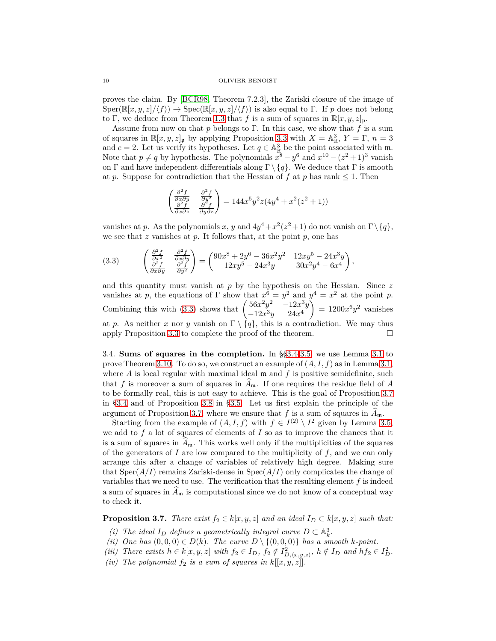proves the claim. By [\[BCR98,](#page-18-3) Theorem 7.2.3], the Zariski closure of the image of  $Sper(\mathbb{R}[x,y,z]/\langle f \rangle) \rightarrow Spec(\mathbb{R}[x,y,z]/\langle f \rangle)$  is also equal to Γ. If *p* does not belong to Γ, we deduce from Theorem [1.3](#page-3-3) that *f* is a sum of squares in  $\mathbb{R}[x, y, z]_{\mathfrak{p}}$ .

Assume from now on that *p* belongs to Γ. In this case, we show that *f* is a sum of squares in  $\mathbb{R}[x, y, z]_{\mathfrak{p}}$  by applying Proposition [3.3](#page-6-4) with  $X = \mathbb{A}_{\mathbb{R}}^3$ ,  $Y = \Gamma$ ,  $n = 3$ and *c* = 2. Let us verify its hypotheses. Let  $q \in \mathbb{A}_{\mathbb{R}}^3$  be the point associated with m. Note that  $p \neq q$  by hypothesis. The polynomials  $x^8 - y^6$  and  $x^{10} - (z^2 + 1)^3$  vanish on Γ and have independent differentials along  $\Gamma \setminus \{q\}$ . We deduce that Γ is smooth at *p*. Suppose for contradiction that the Hessian of *f* at *p* has rank  $\leq 1$ . Then

$$
\begin{pmatrix}\n\frac{\partial^2 f}{\partial x \partial y} & \frac{\partial^2 f}{\partial y^2} \\
\frac{\partial^2 f}{\partial x \partial z} & \frac{\partial^2 f}{\partial y \partial z}\n\end{pmatrix} = 144x^5 y^2 z (4y^4 + x^2 (z^2 + 1))
$$

vanishes at *p*. As the polynomials *x*, *y* and  $4y^4 + x^2(z^2+1)$  do not vanish on  $\Gamma \setminus \{q\}$ , we see that *z* vanishes at *p*. It follows that, at the point *p*, one has

<span id="page-9-0"></span>(3.3) 
$$
\begin{pmatrix} \frac{\partial^2 f}{\partial x^2} & \frac{\partial^2 f}{\partial x \partial y} \\ \frac{\partial^2 f}{\partial x \partial y} & \frac{\partial^2 f}{\partial y^2} \end{pmatrix} = \begin{pmatrix} 90x^8 + 2y^6 - 36x^2y^2 & 12xy^5 - 24x^3y \\ 12xy^5 - 24x^3y & 30x^2y^4 - 6x^4 \end{pmatrix},
$$

and this quantity must vanish at *p* by the hypothesis on the Hessian. Since *z* vanishes at *p*, the equations of  $\Gamma$  show that  $x^6 = y^2$  and  $y^4 = x^2$  at the point *p*. Combining this with [\(3.3\)](#page-9-0) shows that  $\begin{pmatrix} 56x^2y^2 & -12x^3y \\ 12x^3y & 24x^4 \end{pmatrix}$  $-12x^3y$  24 $x^4$ Ň  $= 1200x^6y^2$  vanishes at *p*. As neither *x* nor *y* vanish on  $\Gamma \setminus \{q\}$ , this is a contradiction. We may thus apply Proposition [3.3](#page-6-4) to complete the proof of the theorem.

<span id="page-9-1"></span>3.4. **Sums of squares in the completion.** In §[§3.4-](#page-9-1)[3.5,](#page-11-0) we use Lemma [3.1](#page-6-3) to prove Theorem [3.10.](#page-13-0) To do so, we construct an example of (*A, I, f*) as in Lemma [3.1,](#page-6-3) where *A* is local regular with maximal ideal **m** and *f* is positive semidefinite, such that f is moreover a sum of squares in  $\widehat{A}_{\mathfrak{m}}$ . If one requires the residue field of A to be formally real, this is not easy to achieve. This is the goal of Proposition [3.7](#page-9-2) in [§3.4](#page-9-1) and of Proposition [3.8](#page-11-1) in [§3.5.](#page-11-0) Let us first explain the principle of the argument of Proposition [3.7,](#page-9-2) where we ensure that f is a sum of squares in  $\widehat{A}_{\mathfrak{m}}$ .

Starting from the example of  $(A, I, f)$  with  $f \in I^{(2)} \setminus I^2$  given by Lemma [3.5,](#page-7-1) we add to  $f$  a lot of squares of elements of  $I$  so as to improve the chances that it is a sum of squares in  $A_{\mathfrak{m}}$ . This works well only if the multiplicities of the squares of the generators of *I* are low compared to the multiplicity of *f*, and we can only arrange this after a change of variables of relatively high degree. Making sure that  $Sper(A/I)$  remains Zariski-dense in  $Spec(A/I)$  only complicates the change of variables that we need to use. The verification that the resulting element *f* is indeed a sum of squares in  $A_{\mathfrak{m}}$  is computational since we do not know of a conceptual way to check it.

<span id="page-9-2"></span>**Proposition 3.7.** *There exist*  $f_2 \in k[x, y, z]$  *and an ideal*  $I_D \subset k[x, y, z]$  *such that:* 

- *(i)* The ideal  $I_D$  defines a geometrically integral curve  $D \subset \mathbb{A}_k^3$ .
- *(ii)* One has  $(0,0,0) \in D(k)$ . The curve  $D \setminus \{(0,0,0)\}$  has a smooth *k-point*.
- (iii) There exists  $h \in k[x, y, z]$  with  $f_2 \in I_D$ ,  $f_2 \notin I_{D, \langle x, y, z \rangle}^2$ ,  $h \notin I_D$  and  $hf_2 \in I_D^2$ .
- *(iv)* The polynomial  $f_2$  *is a sum of squares in*  $k[[x, y, z]].$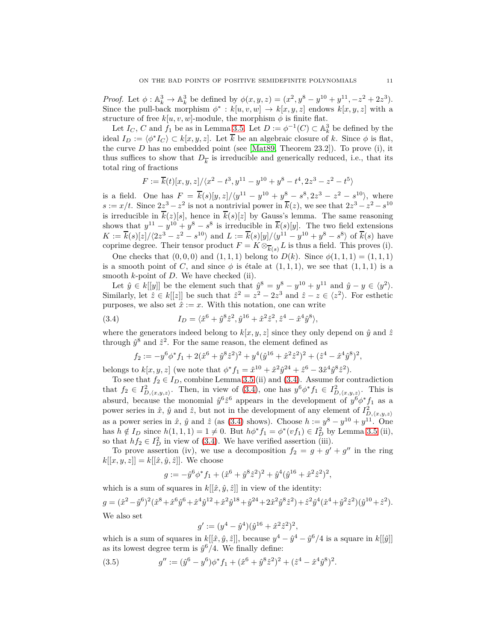*Proof.* Let  $\phi: \mathbb{A}_k^3 \to \mathbb{A}_k^3$  be defined by  $\phi(x, y, z) = (x^2, y^8 - y^{10} + y^{11}, -z^2 + 2z^3)$ . Since the pull-back morphism  $\phi^* : k[u, v, w] \to k[x, y, z]$  endows  $k[x, y, z]$  with a structure of free  $k[u, v, w]$ -module, the morphism  $\phi$  is finite flat.

Let  $I_C$ , *C* and  $f_1$  be as in Lemma [3.5.](#page-7-1) Let  $D := \phi^{-1}(C) \subset \mathbb{A}^3_k$  be defined by the ideal  $I_D := \langle \phi^* I_C \rangle \subset k[x, y, z]$ . Let  $\overline{k}$  be an algebraic closure of *k*. Since  $\phi$  is flat, the curve  $D$  has no embedded point (see [\[Mat89,](#page-19-18) Theorem 23.2]). To prove (i), it thus suffices to show that  $D_{\overline{k}}$  is irreducible and generically reduced, i.e., that its total ring of fractions

$$
F:=\overline{k}(t)[x,y,z]/\langle x^2-t^3,y^{11}-y^{10}+y^8-t^4,2z^3-z^2-t^5\rangle
$$

is a field. One has  $F = \overline{k}(s)[y, z]/\langle y^{11} - y^{10} + y^8 - s^8, 2z^3 - z^2 - s^{10} \rangle$ , where  $s := x/t$ . Since  $2z^3 - z^2$  is not a nontrivial power in  $\overline{k}(z)$ , we see that  $2z^3 - z^2 - s^{10}$ is irreducible in  $\overline{k}(z)[s]$ , hence in  $\overline{k}(s)[z]$  by Gauss's lemma. The same reasoning shows that  $y^{11} - y^{10} + y^8 - s^8$  is irreducible in  $\overline{k}(s)[y]$ . The two field extensions  $K := \overline{k}(s)[z]/\langle 2z^3 - z^2 - s^{10} \rangle$  and  $L := \overline{k}(s)[y]/\langle y^{11} - y^{10} + y^8 - s^8 \rangle$  of  $\overline{k}(s)$  have coprime degree. Their tensor product  $F = K \otimes_{\overline{k}(s)} L$  is thus a field. This proves (i).

One checks that  $(0,0,0)$  and  $(1,1,1)$  belong to  $D(k)$ . Since  $\phi(1,1,1) = (1,1,1)$ is a smooth point of *C*, and since  $\phi$  is étale at  $(1,1,1)$ , we see that  $(1,1,1)$  is a smooth *k*-point of *D*. We have checked (ii).

Let  $\hat{y} \in k[[y]]$  be the element such that  $\hat{y}^8 = y^8 - y^{10} + y^{11}$  and  $\hat{y} - y \in \langle y^2 \rangle$ . Similarly, let  $\hat{z} \in k[[z]]$  be such that  $\hat{z}^2 = z^2 - 2z^3$  and  $\hat{z} - z \in \langle z^2 \rangle$ . For esthetic purposes, we also set  $\hat{x} := x$ . With this notation, one can write

(3.4) 
$$
I_D = \langle \hat{x}^6 + \hat{y}^8 \hat{z}^2, \hat{y}^{16} + \hat{x}^2 \hat{z}^2, \hat{z}^4 - \hat{x}^4 \hat{y}^8 \rangle,
$$

where the generators indeed belong to  $k[x, y, z]$  since they only depend on  $\hat{y}$  and  $\hat{z}$ through  $\hat{y}^8$  and  $\hat{z}^2$ . For the same reason, the element defined as

<span id="page-10-0"></span>
$$
f_2 := -y^6 \phi^* f_1 + 2(\hat{x}^6 + \hat{y}^8 \hat{z}^2)^2 + y^4 (\hat{y}^{16} + \hat{x}^2 \hat{z}^2)^2 + (\hat{z}^4 - \hat{x}^4 \hat{y}^8)^2,
$$

belongs to  $k[x, y, z]$  (we note that  $\phi^* f_1 = \hat{x}^{10} + \hat{x}^2 \hat{y}^{24} + \hat{z}^6 - 3 \hat{x}^4 \hat{y}^8 \hat{z}^2$ ).

To see that  $f_2 \in I_D$ , combine Lemma [3.5](#page-7-1) (ii) and [\(3.4\)](#page-10-0). Assume for contradiction that  $f_2 \in I_{D,(x,y,z)}^2$ . Then, in view of [\(3.4\)](#page-10-0), one has  $y^6 \phi^* f_1 \in I_{D,(x,y,z)}^2$ . This is absurd, because the monomial  $\hat{y}^6 \hat{z}^6$  appears in the development of  $y^6 \phi^* f_1$  as a power series in  $\hat{x}$ ,  $\hat{y}$  and  $\hat{z}$ , but not in the development of any element of  $I_{D,\langle x,y,z\rangle}^2$ as a power series in  $\hat{x}$ ,  $\hat{y}$  and  $\hat{z}$  (as [\(3.4\)](#page-10-0) shows). Choose  $h := y^8 - y^{10} + y^{11}$ . One has  $h \notin I_D$  since  $h(1,1,1) = 1 \neq 0$ . But  $h\phi^* f_1 = \phi^*(vf_1) \in I_D^2$  by Lemma [3.5](#page-7-1) (ii), so that  $hf_2 \in I_D^2$  in view of [\(3.4\)](#page-10-0). We have verified assertion (iii).

To prove assertion (iv), we use a decomposition  $f_2 = g + g' + g''$  in the ring  $k[[x, y, z]] = k[[\hat{x}, \hat{y}, \hat{z}]]$ . We choose

$$
g := -\hat{y}^6 \phi^* f_1 + (\hat{x}^6 + \hat{y}^8 \hat{z}^2)^2 + \hat{y}^4 (\hat{y}^{16} + \hat{x}^2 \hat{z}^2)^2,
$$

which is a sum of squares in  $k[[\hat{x}, \hat{y}, \hat{z}]]$  in view of the identity:  $g = (\hat{x}^2 - \hat{y}^6)^2(\hat{x}^8 + \hat{x}^6\hat{y}^6 + \hat{x}^4\hat{y}^{12} + \hat{x}^2\hat{y}^{18} + \hat{y}^{24} + 2\hat{x}^2\hat{y}^8\hat{z}^2) + \hat{z}^2\hat{y}^4(\hat{x}^4 + \hat{y}^2\hat{z}^2)(\hat{y}^{10} + \hat{z}^2).$ We also set

<span id="page-10-1"></span>
$$
g' := (y^4 - \hat{y}^4)(\hat{y}^{16} + \hat{x}^2 \hat{z}^2)^2,
$$

which is a sum of squares in  $k[[\hat{x}, \hat{y}, \hat{z}]]$ , because  $y^4 - \hat{y}^4 - \hat{y}^6/4$  is a square in  $k[[\hat{y}]]$ as its lowest degree term is  $\hat{y}^6/4$ . We finally define:

(3.5) 
$$
g'' := (\hat{y}^6 - y^6)\phi^* f_1 + (\hat{x}^6 + \hat{y}^8 \hat{z}^2)^2 + (\hat{z}^4 - \hat{x}^4 \hat{y}^8)^2.
$$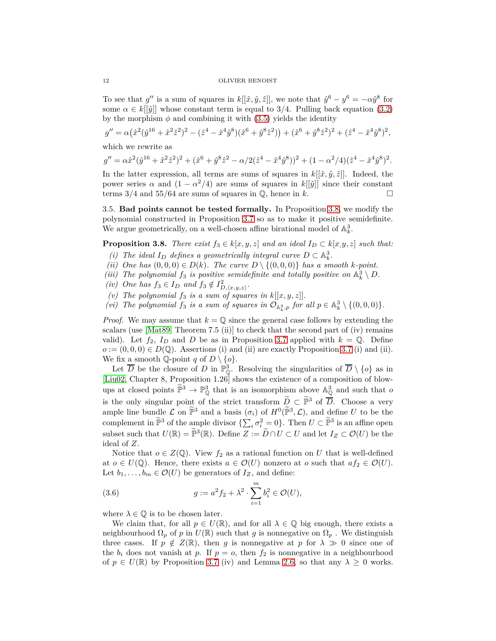To see that  $g''$  is a sum of squares in  $k[[\hat{x}, \hat{y}, \hat{z}]]$ , we note that  $\hat{y}^6 - y^6 = -\alpha \hat{y}^8$  for some  $\alpha \in k[[\hat{y}]]$  whose constant term is equal to 3/4. Pulling back equation [\(3.2\)](#page-8-1) by the morphism  $\phi$  and combining it with [\(3.5\)](#page-10-1) yields the identity

$$
g'' = \alpha (\hat{x}^2(\hat{y}^{16} + \hat{x}^2\hat{z}^2)^2 - (\hat{z}^4 - \hat{x}^4\hat{y}^8)(\hat{x}^6 + \hat{y}^8\hat{z}^2)) + (\hat{x}^6 + \hat{y}^8\hat{z}^2)^2 + (\hat{z}^4 - \hat{x}^4\hat{y}^8)^2,
$$

which we rewrite as

$$
g'' = \alpha \hat{x}^2 (\hat{y}^{16} + \hat{x}^2 \hat{z}^2)^2 + (\hat{x}^6 + \hat{y}^8 \hat{z}^2 - \alpha/2(\hat{z}^4 - \hat{x}^4 \hat{y}^8))^2 + (1 - \alpha^2/4)(\hat{z}^4 - \hat{x}^4 \hat{y}^8)^2.
$$

In the latter expression, all terms are sums of squares in  $k[[\hat{x}, \hat{y}, \hat{z}]]$ . Indeed, the power series  $\alpha$  and  $(1 - \alpha^2/4)$  are sums of squares in  $k[[\hat{y}]]$  since their constant terms  $3/4$  and  $55/64$  are sums of squares in  $\mathbb{Q}$ , hence in *k*.

<span id="page-11-0"></span>3.5. **Bad points cannot be tested formally.** In Proposition [3.8,](#page-11-1) we modify the polynomial constructed in Proposition [3.7](#page-9-2) so as to make it positive semidefinite. We argue geometrically, on a well-chosen affine birational model of  $\mathbb{A}_k^3$ .

<span id="page-11-1"></span>**Proposition 3.8.** *There exist*  $f_3 \in k[x, y, z]$  *and an ideal*  $I_D \subset k[x, y, z]$  *such that:* 

- *(i)* The ideal  $I_D$  defines a geometrically integral curve  $D \subset \mathbb{A}_k^3$ .
- *(ii)* One has  $(0,0,0) \in D(k)$ . The curve  $D \setminus \{(0,0,0)\}$  has a smooth *k-point*.
- (*iii*) The polynomial  $f_3$  *is positive semidefinite and totally positive on*  $\mathbb{A}_k^3 \setminus D$ .
- (*iv*) One has  $f_3 \in I_D$  and  $f_3 \notin I_{D,\langle x,y,z \rangle}^2$ .
- *(v)* The polynomial  $f_3$  is a sum of squares in  $k[[x, y, z]]$ .
- *(vi)* The polynomial  $f_3$  *is a sum of squares in*  $\mathcal{O}_{\mathbb{A}_k^3,p}$  *for all*  $p \in \mathbb{A}_k^3 \setminus \{(0,0,0)\}.$

*Proof.* We may assume that  $k = \mathbb{Q}$  since the general case follows by extending the scalars (use  $[Mat89, Theorem 7.5 (ii)]$  to check that the second part of (iv) remains valid). Let  $f_2$ ,  $I_D$  and  $D$  be as in Proposition [3.7](#page-9-2) applied with  $k = \mathbb{Q}$ . Define  $o := (0,0,0) \in D(\mathbb{Q})$ . Assertions (i) and (ii) are exactly Proposition [3.7](#page-9-2) (i) and (ii). We fix a smooth  $\mathbb{Q}$ -point *q* of  $D \setminus \{o\}.$ 

Let  $\overline{D}$  be the closure of *D* in  $\mathbb{P}^3_{\mathbb{Q}}$ . Resolving the singularities of  $\overline{D} \setminus \{o\}$  as in [\[Liu02,](#page-19-20) Chapter 8, Proposition 1.26] shows the existence of a composition of blowups at closed points  $\mathbb{P}^3 \to \mathbb{P}^3_{\mathbb{Q}}$  that is an isomorphism above  $\mathbb{A}^3_{\mathbb{Q}}$  and such that *o* is the only singular point of the strict transform  $\tilde{D} \subset \tilde{\mathbb{P}}^3$  of  $\overline{D}$ . Choose a very ample line bundle  $\mathcal L$  on  $\mathbb P^3$  and a basis  $(\sigma_i)$  of  $H^0(\mathbb P^3, \mathcal L)$ , and define *U* to be the complement in  $\tilde{\mathbb{P}}^3$  of the ample divisor  $\{\sum_i \sigma_i^2 = 0\}$ . Then  $U \subset \tilde{\mathbb{P}}^3$  is an affine open subset such that  $U(\mathbb{R}) = \mathbb{P}^3(\mathbb{R})$ . Define  $Z := \tilde{D} \cap U \subset U$  and let  $I_Z \subset \mathcal{O}(U)$  be the ideal of *Z*.

Notice that  $o \in Z(\mathbb{Q})$ . View  $f_2$  as a rational function on *U* that is well-defined at  $o \in U(\mathbb{Q})$ . Hence, there exists  $a \in \mathcal{O}(U)$  nonzero at *o* such that  $af_2 \in \mathcal{O}(U)$ . Let  $b_1, \ldots, b_m \in \mathcal{O}(U)$  be generators of  $I_Z$ , and define:

<span id="page-11-2"></span>(3.6) 
$$
g := a^2 f_2 + \lambda^2 \cdot \sum_{i=1}^m b_i^2 \in \mathcal{O}(U),
$$

where  $\lambda \in \mathbb{Q}$  is to be chosen later.

We claim that, for all  $p \in U(\mathbb{R})$ , and for all  $\lambda \in \mathbb{Q}$  big enough, there exists a neighbourhood  $\Omega_p$  of *p* in  $U(\mathbb{R})$  such that *g* is nonnegative on  $\Omega_p$ . We distinguish three cases. If  $p \notin Z(\mathbb{R})$ , then *g* is nonnegative at *p* for  $\lambda \gg 0$  since one of the  $b_i$  does not vanish at p. If  $p = o$ , then  $f_2$  is nonnegative in a neighbourhood of  $p \in U(\mathbb{R})$  by Proposition [3.7](#page-9-2) (iv) and Lemma [2.6,](#page-5-2) so that any  $\lambda \geq 0$  works.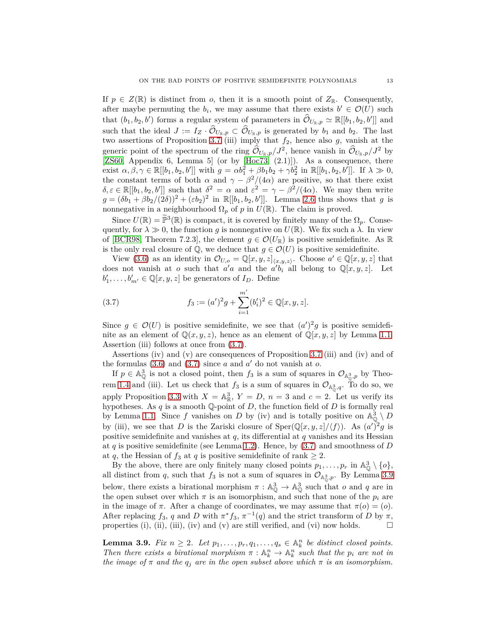If  $p \in Z(\mathbb{R})$  is distinct from *o*, then it is a smooth point of  $Z_{\mathbb{R}}$ . Consequently, after maybe permuting the  $b_i$ , we may assume that there exists  $b' \in \mathcal{O}(U)$  such that  $(b_1, b_2, b')$  forms a regular system of parameters in  $\mathcal{O}_{U_{\mathbb{R}},p} \simeq \mathbb{R}[[b_1, b_2, b']]$  and such that the ideal  $J := I_Z \cdot \mathcal{O}_{U_R, p} \subset \mathcal{O}_{U_R, p}$  is generated by  $b_1$  and  $b_2$ . The last two assertions of Proposition [3.7](#page-9-2) (iii) imply that  $f_2$ , hence also  $g$ , vanish at the generic point of the spectrum of the ring  $\hat{\mathcal{O}}_{U_{\mathbb{R}},p}/J^2$ , hence vanish in  $\hat{\mathcal{O}}_{U_{\mathbb{R}},p}/J^2$  by [ $ZS60$ , Appendix 6, Lemma 5] (or by  $[Hoc73, (2.1)]$ ). As a consequence, there exist  $\alpha, \beta, \gamma \in \mathbb{R}[[b_1, b_2, b']]$  with  $g = \alpha b_1^2 + \beta b_1 b_2 + \gamma b_2^2$  in  $\mathbb{R}[[b_1, b_2, b']]$ . If  $\lambda \gg 0$ , the constant terms of both  $\alpha$  and  $\gamma - \beta^2/(4\alpha)$  are positive, so that there exist  $\delta, \varepsilon \in \mathbb{R}[[b_1, b_2, b']]$  such that  $\delta^2 = \alpha$  and  $\varepsilon^2 = \gamma - \beta^2/(4\alpha)$ . We may then write  $g = (\delta b_1 + \beta b_2/(2\delta))^2 + (\varepsilon b_2)^2$  in R[[*b*<sub>1</sub>*, b*<sub>2</sub>*, b'*]]. Lemma [2.6](#page-5-2) thus shows that *g* is nonnegative in a neighbourhood  $\Omega_p$  of *p* in  $\widetilde{U}(\mathbb{R})$ . The claim is proved.

Since  $U(\mathbb{R}) = \mathbb{P}^3(\mathbb{R})$  is compact, it is covered by finitely many of the  $\Omega_p$ . Consequently, for  $\lambda \gg 0$ , the function *g* is nonnegative on  $U(\mathbb{R})$ . We fix such a  $\lambda$ . In view of [\[BCR98,](#page-18-3) Theorem 7.2.3], the element  $g \in \mathcal{O}(U_{\mathbb{R}})$  is positive semidefinite. As  $\mathbb{R}$ is the only real closure of  $\mathbb{Q}$ , we deduce that  $g \in \mathcal{O}(U)$  is positive semidefinite.

View [\(3.6\)](#page-11-2) as an identity in  $\mathcal{O}_{U,o} = \mathbb{Q}[x,y,z]_{\langle x,y,z\rangle}$ . Choose  $a' \in \mathbb{Q}[x,y,z]$  that does not vanish at *o* such that *a*'*a* and the *a*'*b*<sub>*i*</sub> all belong to  $\mathbb{Q}[x, y, z]$ . Let  $b'_1, \ldots, b'_{m'} \in \mathbb{Q}[x, y, z]$  be generators of  $I_D$ . Define

<span id="page-12-0"></span>(3.7) 
$$
f_3 := (a')^2 g + \sum_{i=1}^{m'} (b'_i)^2 \in \mathbb{Q}[x, y, z].
$$

Since  $g \in \mathcal{O}(U)$  is positive semidefinite, we see that  $(a')^2 g$  is positive semidefinite as an element of  $\mathbb{Q}(x, y, z)$ , hence as an element of  $\mathbb{Q}[x, y, z]$  by Lemma [1.1.](#page-3-4) Assertion (iii) follows at once from [\(3.7\)](#page-12-0).

Assertions (iv) and (v) are consequences of Proposition [3.7](#page-9-2) (iii) and (iv) and of the formulas  $(3.6)$  and  $(3.7)$  since  $a$  and  $a'$  do not vanish at  $o$ .

If  $p \in \mathbb{A}_{\mathbb{Q}}^3$  is not a closed point, then  $f_3$  is a sum of squares in  $\mathcal{O}_{\mathbb{A}_{\mathbb{Q}}^3,p}$  by Theo-rem [1.4](#page-3-2) and (iii). Let us check that  $f_3$  is a sum of squares in  $\mathcal{O}_{\mathbb{A}_Q^3,q}$ . To do so, we apply Proposition [3.3](#page-6-4) with  $X = \mathbb{A}_{\mathbb{R}}^3$ ,  $Y = D$ ,  $n = 3$  and  $c = 2$ . Let us verify its hypotheses. As *q* is a smooth Q-point of *D*, the function field of *D* is formally real by Lemma [1.1.](#page-3-4) Since f vanishes on D by (iv) and is totally positive on  $\mathbb{A}^3_{\mathbb{Q}} \setminus D$ by (iii), we see that *D* is the Zariski closure of  $\text{Sper}(\mathbb{Q}[x,y,z]/\langle f \rangle)$ . As  $(a')^2g$  is positive semidefinite and vanishes at *q*, its differential at *q* vanishes and its Hessian at *q* is positive semidefinite (see Lemma [1.2\)](#page-3-1). Hence, by [\(3.7\)](#page-12-0) and smoothness of *D* at *q*, the Hessian of  $f_3$  at *q* is positive semidefinite of rank  $\geq 2$ .

By the above, there are only finitely many closed points  $p_1, \ldots, p_r$  in  $\mathbb{A}^3_{\mathbb{Q}} \setminus \{o\},$ all distinct from *q*, such that  $f_3$  is not a sum of squares in  $\mathcal{O}_{\mathbb{A}_Q^3,p}$ . By Lemma [3.9](#page-12-1) below, there exists a birational morphism  $\pi : \mathbb{A}^3_{\mathbb{Q}} \to \mathbb{A}^3_{\mathbb{Q}}$  such that *o* and *q* are in the open subset over which  $\pi$  is an isomorphism, and such that none of the  $p_i$  are in the image of  $\pi$ . After a change of coordinates, we may assume that  $\pi(o) = (o)$ . After replacing  $f_3$ ,  $q$  and  $D$  with  $\pi^* f_3$ ,  $\pi^{-1}(q)$  and the strict transform of  $D$  by  $\pi$ , properties (i), (ii), (iii), (iv) and (v) are still verified, and (vi) now holds.  $\Box$ 

<span id="page-12-1"></span>**Lemma 3.9.** *Fix*  $n \geq 2$ *. Let*  $p_1, \ldots, p_r, q_1, \ldots, q_s \in \mathbb{A}^n_k$  *be distinct closed points. Then there exists a birational morphism*  $\pi$  :  $\mathbb{A}^n_k \to \mathbb{A}^n_k$  such that the  $p_i$  are not in *the image of*  $\pi$  *and the*  $q_j$  *are in the open subset above which*  $\pi$  *is an isomorphism.*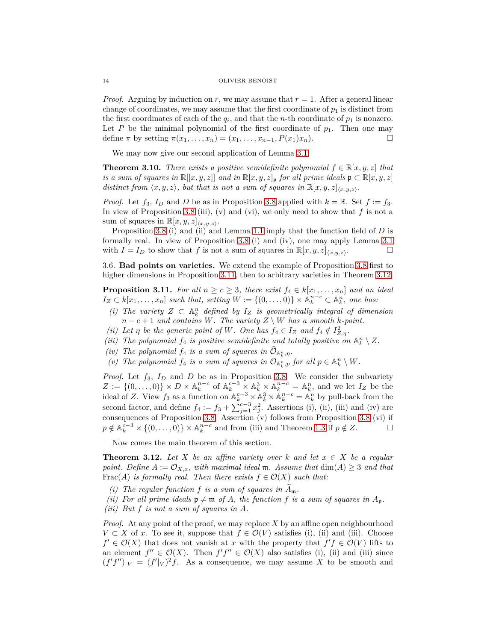*Proof.* Arguing by induction on  $r$ , we may assume that  $r = 1$ . After a general linear change of coordinates, we may assume that the first coordinate of  $p_1$  is distinct from the first coordinates of each of the  $q_i$ , and that the *n*-th coordinate of  $p_1$  is nonzero. Let  $P$  be the minimal polynomial of the first coordinate of  $p_1$ . Then one may define  $\pi$  by setting  $\pi(x_1, ..., x_n) = (x_1, ..., x_{n-1}, P(x_1)x_n)$ .

We may now give our second application of Lemma [3.1.](#page-6-3)

<span id="page-13-0"></span>**Theorem 3.10.** *There exists a positive semidefinite polynomial*  $f \in \mathbb{R}[x, y, z]$  *that is a sum of squares in*  $\mathbb{R}[[x, y, z]]$  *and in*  $\mathbb{R}[x, y, z]$ <sub>p</sub> *for all prime ideals*  $\mathfrak{p} \subset \mathbb{R}[x, y, z]$ *distinct from*  $\langle x, y, z \rangle$ , but that is not a sum of squares in  $\mathbb{R}[x, y, z]_{\langle x, y, z \rangle}$ *.* 

*Proof.* Let  $f_3$ ,  $I_D$  and  $D$  be as in Proposition [3.8](#page-11-1) applied with  $k = \mathbb{R}$ . Set  $f := f_3$ . In view of Proposition [3.8](#page-11-1) (iii), (v) and (vi), we only need to show that *f* is not a sum of squares in  $\mathbb{R}[x, y, z]_{\langle x, y, z \rangle}$ .

Proposition [3.8](#page-11-1) (i) and (ii) and Lemma [1.1](#page-3-4) imply that the function field of *D* is formally real. In view of Proposition [3.8](#page-11-1) (i) and (iv), one may apply Lemma [3.1](#page-6-3) with  $I = I_D$  to show that f is not a sum of squares in  $\mathbb{R}[x, y, z]_{\langle x, y, z \rangle}$ . .

<span id="page-13-2"></span>3.6. **Bad points on varieties.** We extend the example of Proposition [3.8](#page-11-1) first to higher dimensions in Proposition [3.11,](#page-13-3) then to arbitrary varieties in Theorem [3.12.](#page-13-1)

<span id="page-13-3"></span>**Proposition 3.11.** *For all*  $n \geq c \geq 3$ *, there exist*  $f_4 \in k[x_1, \ldots, x_n]$  *and an ideal*  $I_Z \subset k[x_1, \ldots, x_n]$  *such that, setting*  $W := \{(0, \ldots, 0)\} \times \mathbb{A}_k^{n-c} \subset \mathbb{A}_k^n$ , *one has:* 

- *(i)* The variety  $Z$  ⊂  $\mathbb{A}_k^n$  defined by  $I_Z$  is geometrically integral of dimension  $n - c + 1$  *and contains W. The variety*  $Z \setminus W$  *has a smooth k-point.*
- *(ii)* Let  $\eta$  be the generic point of W. One has  $f_4 \in I_Z$  and  $f_4 \notin I_{Z,\eta}^2$ .
- *(iii)* The polynomial  $f_4$  is positive semidefinite and totally positive on  $\mathbb{A}_k^n \setminus Z$ .
- *(iv)* The polynomial  $f_4$  *is a sum of squares in*  $\mathcal{O}_{\mathbb{A}_k^n, \eta}$ *.*
- *(v)* The polynomial  $f_4$  is a sum of squares in  $\mathcal{O}_{\mathbb{A}_k^n, p}$  for all  $p \in \mathbb{A}_k^n \setminus W$ .

*Proof.* Let *f*3, *I<sup>D</sup>* and *D* be as in Proposition [3.8.](#page-11-1) We consider the subvariety  $Z := \{(0, \ldots, 0)\} \times D \times \mathbb{A}_k^{n-c}$  of  $\mathbb{A}_k^{c-3} \times \mathbb{A}_k^3 \times \mathbb{A}_k^{n-c} = \mathbb{A}_k^n$ , and we let  $I_Z$  be the ideal of *Z*. View  $f_3$  as a function on  $\mathbb{A}_k^{c-3} \times \mathbb{A}_k^3 \times \mathbb{A}_k^{n-c} = \mathbb{A}_k^n$  by pull-back from the second factor, and define  $f_4 := f_3 + \sum_{j=1}^{c-3} x_j^2$ . Assertions (i), (ii), (iii) and (iv) are consequences of Proposition [3.8.](#page-11-1) Assertion (v) follows from Proposition [3.8](#page-11-1) (vi) if  $p \notin \mathbb{A}_k^{c-3} \times \{(0, \ldots, 0)\} \times \mathbb{A}_k^{n-c}$  and from (iii) and Theorem [1.3](#page-3-3) if  $p \notin Z$ .

Now comes the main theorem of this section.

<span id="page-13-1"></span>**Theorem 3.12.** *Let*  $X$  *be an affine variety over*  $k$  *and let*  $x \in X$  *be a regular point.* Define  $A := \mathcal{O}_{X,x}$ *, with maximal ideal* **m***. Assume that*  $dim(A) \geq 3$  *and that* Frac(*A*) *is formally real. Then there exists*  $f \in \mathcal{O}(X)$  *such that:* 

- *(i)* The regular function f is a sum of squares in  $A_m$ .
- *(ii)* For all prime ideals  $\mathfrak{p} \neq \mathfrak{m}$  of A, the function f is a sum of squares in  $A_{\mathfrak{p}}$ .
- *(iii) But f is not a sum of squares in A.*

*Proof.* At any point of the proof, we may replace *X* by an affine open neighbourhood *V* ⊂ *X* of *x*. To see it, suppose that  $f \in \mathcal{O}(V)$  satisfies (i), (ii) and (iii). Choose  $f' \in \mathcal{O}(X)$  that does not vanish at *x* with the property that  $f'f \in \mathcal{O}(V)$  lifts to an element  $f'' \in \mathcal{O}(X)$ . Then  $f'f'' \in \mathcal{O}(X)$  also satisfies (i), (ii) and (iii) since  $(f'f'')|_V = (f'|_V)^2 f$ . As a consequence, we may assume X to be smooth and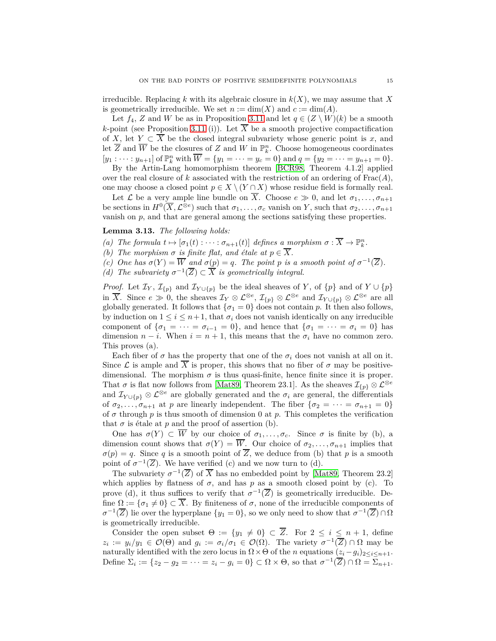irreducible. Replacing  $k$  with its algebraic closure in  $k(X)$ , we may assume that X is geometrically irreducible. We set  $n := \dim(X)$  and  $c := \dim(A)$ .

Let  $f_4$ , *Z* and *W* be as in Proposition [3.11](#page-13-3) and let  $q \in (Z \setminus W)(k)$  be a smooth *k*-point (see Proposition [3.11](#page-13-3) (i)). Let  $\overline{X}$  be a smooth projective compactification of *X*, let *Y*  $\subset \overline{X}$  be the closed integral subvariety whose generic point is *x*, and let  $\overline{Z}$  and  $\overline{W}$  be the closures of  $Z$  and  $W$  in  $\mathbb{P}_k^n$ . Choose homogeneous coordinates  $[y_1: \cdots : y_{n+1}]$  of  $\mathbb{P}_k^n$  with  $\overline{W} = \{y_1 = \cdots = y_c = 0\}$  and  $q = \{y_2 = \cdots = y_{n+1} = 0\}.$ 

By the Artin-Lang homomorphism theorem [\[BCR98,](#page-18-3) Theorem 4.1.2] applied over the real closure of  $k$  associated with the restriction of an ordering of  $Frac(A)$ , one may choose a closed point  $p \in X \setminus (Y \cap X)$  whose residue field is formally real.

Let *L* be a very ample line bundle on  $\overline{X}$ . Choose  $e \gg 0$ , and let  $\sigma_1, \ldots, \sigma_{n+1}$ be sections in  $H^0(\overline{X}, \mathcal{L}^{\otimes e})$  such that  $\sigma_1, \ldots, \sigma_c$  vanish on *Y*, such that  $\sigma_2, \ldots, \sigma_{n+1}$ vanish on *p*, and that are general among the sections satisfying these properties.

## <span id="page-14-0"></span>**Lemma 3.13.** *The following holds:*

- *(a) The formula*  $t \mapsto [\sigma_1(t) : \cdots : \sigma_{n+1}(t)]$  *defines a morphism*  $\sigma : \overline{X} \to \mathbb{P}_k^n$ .
- *(b)* The morphism  $\sigma$  *is finite flat, and étale at*  $p \in \overline{X}$ *.*
- *(c)* One has  $\sigma(Y) = \overline{W}$  and  $\sigma(p) = q$ . The point p is a smooth point of  $\sigma^{-1}(\overline{Z})$ .
- *(d)* The subvariety  $\sigma^{-1}(\overline{Z}) \subset \overline{X}$  is geometrically integral.

*Proof.* Let  $\mathcal{I}_Y$ ,  $\mathcal{I}_{\{p\}}$  and  $\mathcal{I}_{Y\cup\{p\}}$  be the ideal sheaves of *Y*, of  $\{p\}$  and of  $Y\cup\{p\}$ in  $\overline{X}$ . Since  $e \gg 0$ , the sheaves  $\mathcal{I}_Y \otimes \mathcal{L}^{\otimes e}$ ,  $\mathcal{I}_{\{p\}} \otimes \mathcal{L}^{\otimes e}$  and  $\mathcal{I}_{Y \cup \{p\}} \otimes \mathcal{L}^{\otimes e}$  are all globally generated. It follows that  $\{\sigma_1 = 0\}$  does not contain *p*. It then also follows, by induction on  $1 \leq i \leq n+1$ , that  $\sigma_i$  does not vanish identically on any irreducible component of  $\{\sigma_1 = \cdots = \sigma_{i-1} = 0\}$ , and hence that  $\{\sigma_1 = \cdots = \sigma_i = 0\}$  has dimension  $n - i$ . When  $i = n + 1$ , this means that the  $\sigma_i$  have no common zero. This proves (a).

Each fiber of  $\sigma$  has the property that one of the  $\sigma_i$  does not vanish at all on it. Since  $\mathcal L$  is ample and  $\overline X$  is proper, this shows that no fiber of  $\sigma$  may be positivedimensional. The morphism  $\sigma$  is thus quasi-finite, hence finite since it is proper. That  $\sigma$  is flat now follows from [\[Mat89,](#page-19-18) Theorem 23.1]. As the sheaves  $\mathcal{I}_{\{p\}} \otimes \mathcal{L}^{\otimes e}$ and  $\mathcal{I}_{Y\cup\{p\}} \otimes \mathcal{L}^{\otimes e}$  are globally generated and the  $\sigma_i$  are general, the differentials of  $\sigma_2, \ldots, \sigma_{n+1}$  at *p* are linearly independent. The fiber  $\{\sigma_2 = \cdots = \sigma_{n+1} = 0\}$ of  $\sigma$  through  $p$  is thus smooth of dimension 0 at  $p$ . This completes the verification that  $\sigma$  is étale at  $p$  and the proof of assertion (b).

One has  $\sigma(Y) \subset \overline{W}$  by our choice of  $\sigma_1, \ldots, \sigma_c$ . Since  $\sigma$  is finite by (b), a dimension count shows that  $\sigma(Y) = \overline{W}$ . Our choice of  $\sigma_2, \ldots, \sigma_{n+1}$  implies that  $\sigma(p) = q$ . Since *q* is a smooth point of  $\overline{Z}$ , we deduce from (b) that *p* is a smooth point of  $\sigma^{-1}(\overline{Z})$ . We have verified (c) and we now turn to (d).

The subvariety  $\sigma^{-1}(\overline{Z})$  of  $\overline{X}$  has no embedded point by [\[Mat89,](#page-19-18) Theorem 23.2] which applies by flatness of  $\sigma$ , and has  $p$  as a smooth closed point by (c). To prove (d), it thus suffices to verify that  $\sigma^{-1}(\overline{Z})$  is geometrically irreducible. Define  $\Omega := {\sigma_1 \neq 0} \subset \overline{X}$ . By finiteness of  $\sigma$ , none of the irreducible components of  $\sigma^{-1}(\overline{Z})$  lie over the hyperplane  $\{y_1 = 0\}$ , so we only need to show that  $\sigma^{-1}(\overline{Z}) \cap \Omega$ is geometrically irreducible.

Consider the open subset  $\Theta := \{y_1 \neq 0\} \subset \overline{Z}$ . For  $2 \leq i \leq n+1$ , define  $z_i := y_i/y_1 \in \mathcal{O}(\Theta)$  and  $g_i := \sigma_i/\sigma_1 \in \mathcal{O}(\Omega)$ . The variety  $\sigma^{-1}(\overline{Z}) \cap \Omega$  may be naturally identified with the zero locus in  $\Omega \times \Theta$  of the *n* equations  $(z_i - g_i)_{2 \leq i \leq n+1}$ . Define  $\Sigma_i := \{z_2 - g_2 = \cdots = z_i - g_i = 0\} \subset \Omega \times \Theta$ , so that  $\sigma^{-1}(\overline{Z}) \cap \Omega = \Sigma_{n+1}$ .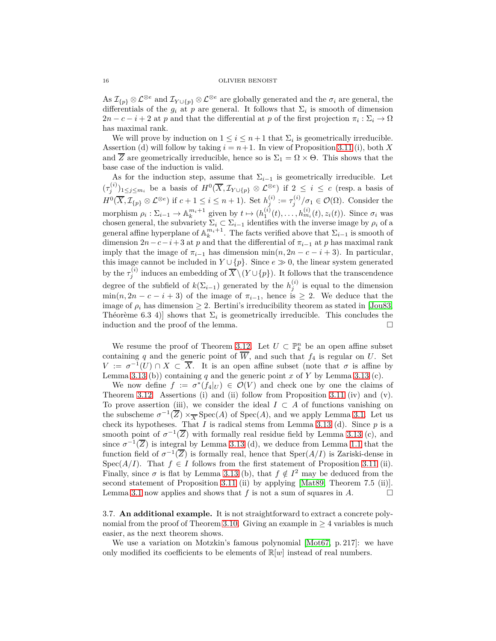As  $\mathcal{I}_{\{p\}} \otimes \mathcal{L}^{\otimes e}$  and  $\mathcal{I}_{Y \cup \{p\}} \otimes \mathcal{L}^{\otimes e}$  are globally generated and the  $\sigma_i$  are general, the differentials of the  $g_i$  at  $p$  are general. It follows that  $\Sigma_i$  is smooth of dimension  $2n - c - i + 2$  at *p* and that the differential at *p* of the first projection  $\pi_i : \Sigma_i \to \Omega$ has maximal rank.

We will prove by induction on  $1 \leq i \leq n+1$  that  $\Sigma_i$  is geometrically irreducible. Assertion (d) will follow by taking  $i = n+1$ . In view of Proposition [3.11](#page-13-3) (i), both X and  $\overline{Z}$  are geometrically irreducible, hence so is  $\Sigma_1 = \Omega \times \Theta$ . This shows that the base case of the induction is valid.

As for the induction step, assume that  $\Sigma_{i-1}$  is geometrically irreducible. Let  $(\tau_j^{(i)})_{1 \leq j \leq m_i}$  be a basis of  $H^0(\overline{X}, \mathcal{I}_{Y \cup \{p\}} \otimes \mathcal{L}^{\otimes e})$  if  $2 \leq i \leq c$  (resp. a basis of  $H^0(\overline{X}, \mathcal{I}_{\{p\}} \otimes \mathcal{L}^{\otimes e})$  if  $c + 1 \leq i \leq n + 1$ ). Set  $h_j^{(i)} := \tau_j^{(i)}/\sigma_1 \in \mathcal{O}(\Omega)$ . Consider the morphism  $\rho_i : \Sigma_{i-1} \to \mathbb{A}_k^{m_i+1}$  given by  $t \mapsto (h_1^{(i)}(t), \dots, h_{m_i}^{(i)}(t), z_i(t))$ . Since  $\sigma_i$  was chosen general, the subvariety  $\Sigma_i \subset \Sigma_{i-1}$  identifies with the inverse image by  $\rho_i$  of a general affine hyperplane of  $\mathbb{A}_k^{m_i+1}$ . The facts verified above that  $\Sigma_{i-1}$  is smooth of dimension  $2n-c-i+3$  at *p* and that the differential of  $\pi_{i-1}$  at *p* has maximal rank imply that the image of  $\pi_{i-1}$  has dimension min $(n, 2n - c - i + 3)$ . In particular, this image cannot be included in  $Y \cup \{p\}$ . Since  $e \gg 0$ , the linear system generated by the  $\tau_i^{(i)}$  $j_j^{(i)}$  induces an embedding of  $X \setminus (Y \cup \{p\})$ . It follows that the transcendence degree of the subfield of  $k(\Sigma_{i-1})$  generated by the  $h_j^{(i)}$  is equal to the dimension  $\min(n, 2n - c - i + 3)$  of the image of  $\pi_{i-1}$ , hence is  $\geq 2$ . We deduce that the image of  $\rho_i$  has dimension  $\geq 2$ . Bertini's irreducibility theorem as stated in [\[Jou83,](#page-19-21) Théorème 6.3 4) shows that  $\Sigma_i$  is geometrically irreducible. This concludes the induction and the proof of the lemma.  $\Box$ 

We resume the proof of Theorem [3.12.](#page-13-1) Let  $U \subset \mathbb{P}_k^n$  be an open affine subset containing q and the generic point of  $\overline{W}$ , and such that  $f_4$  is regular on *U*. Set  $V := \sigma^{-1}(U) \cap X \subset \overline{X}$ . It is an open affine subset (note that  $\sigma$  is affine by Lemma [3.13](#page-14-0) (b)) containing  $q$  and the generic point  $x$  of  $Y$  by Lemma 3.13 (c).

We now define  $f := \sigma^*(f_4|_U) \in \mathcal{O}(V)$  and check one by one the claims of Theorem [3.12.](#page-13-1) Assertions (i) and (ii) follow from Proposition [3.11](#page-13-3) (iv) and (v). To prove assertion (iii), we consider the ideal  $I \subset A$  of functions vanishing on the subscheme  $\sigma^{-1}(\overline{Z}) \times_{\overline{X}} \text{Spec}(A)$  of  $\text{Spec}(A)$ , and we apply Lemma [3.1.](#page-6-3) Let us check its hypotheses. That *I* is radical stems from Lemma [3.13](#page-14-0) (d). Since  $p$  is a smooth point of  $\sigma^{-1}(\overline{Z})$  with formally real residue field by Lemma [3.13](#page-14-0) (c), and since  $\sigma^{-1}(\overline{Z})$  is integral by Lemma [3.13](#page-14-0) (d), we deduce from Lemma [1.1](#page-3-4) that the function field of  $\sigma^{-1}(\overline{Z})$  is formally real, hence that  $Sper(A/I)$  is Zariski-dense in Spec( $A/I$ ). That  $f \in I$  follows from the first statement of Proposition [3.11](#page-13-3) (ii). Finally, since  $\sigma$  is flat by Lemma [3.13](#page-14-0) (b), that  $f \notin I^2$  may be deduced from the second statement of Proposition [3.11](#page-13-3) (ii) by applying [\[Mat89,](#page-19-18) Theorem 7.5 (ii)]. Lemma [3.1](#page-6-3) now applies and shows that  $f$  is not a sum of squares in  $A$ .

<span id="page-15-0"></span>3.7. **An additional example.** It is not straightforward to extract a concrete poly-nomial from the proof of Theorem [3.10.](#page-13-0) Giving an example in  $\geq 4$  variables is much easier, as the next theorem shows.

We use a variation on Motzkin's famous polynomial [\[Mot67,](#page-19-22) p. 217]: we have only modified its coefficients to be elements of  $\mathbb{R}[w]$  instead of real numbers.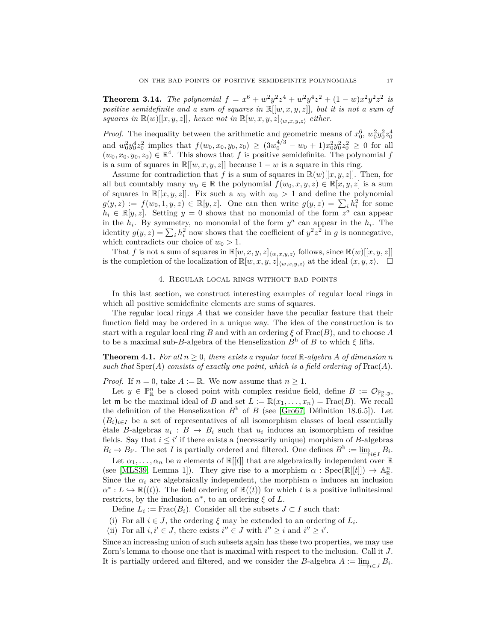<span id="page-16-0"></span>**Theorem 3.14.** *The polynomial*  $f = x^6 + w^2y^2z^4 + w^2y^4z^2 + (1 - w)x^2y^2z^2$  *is positive semidefinite and a sum of squares in* R[[*w, x, y, z*]]*, but it is not a sum of squares in*  $\mathbb{R}(w)[[x, y, z]],$  hence not in  $\mathbb{R}[w, x, y, z]_{\langle w, x, y, z \rangle}$  *either.* 

*Proof.* The inequality between the arithmetic and geometric means of  $x_0^6$ ,  $w_0^2y_0^2z_0^4$ and  $w_0^2 y_0^4 z_0^2$  implies that  $f(w_0, x_0, y_0, z_0) \ge (3w_0^{4/3} - w_0 + 1)x_0^2 y_0^2 z_0^2 \ge 0$  for all  $(w_0, x_0, y_0, z_0) \in \mathbb{R}^4$ . This shows that *f* is positive semidefinite. The polynomial *f* is a sum of squares in  $\mathbb{R}[[w, x, y, z]]$  because  $1 - w$  is a square in this ring.

Assume for contradiction that *f* is a sum of squares in  $\mathbb{R}(w)[[x, y, z]]$ . Then, for all but countably many  $w_0 \in \mathbb{R}$  the polynomial  $f(w_0, x, y, z) \in \mathbb{R}[x, y, z]$  is a sum of squares in  $\mathbb{R}[[x, y, z]]$ . Fix such a  $w_0$  with  $w_0 > 1$  and define the polynomial  $g(y, z) := f(w_0, 1, y, z) \in \mathbb{R}[y, z]$ . One can then write  $g(y, z) = \sum_i h_i^2$  for some  $h_i \in \mathbb{R}[y, z]$ . Setting  $y = 0$  shows that no monomial of the form  $z^{\tilde{a}}$  can appear in the  $h_i$ . By symmetry, no monomial of the form  $y^a$  can appear in the  $h_i$ . The identity  $g(y, z) = \sum_i h_i^2$  now shows that the coefficient of  $y^2 z^2$  in *g* is nonnegative, which contradicts our choice of  $w_0 > 1$ .

That *f* is not a sum of squares in  $\mathbb{R}[w, x, y, z]_{\langle w, x, y, z \rangle}$  follows, since  $\mathbb{R}(w)[[x, y, z]]$ is the completion of the localization of  $\mathbb{R}[w, x, y, z]_{\langle w, x, y, z \rangle}$  at the ideal  $\langle x, y, z \rangle$ .  $\Box$ 

## 4. Regular local rings without bad points

In this last section, we construct interesting examples of regular local rings in which all positive semidefinite elements are sums of squares.

The regular local rings *A* that we consider have the peculiar feature that their function field may be ordered in a unique way. The idea of the construction is to start with a regular local ring *B* and with an ordering *ξ* of Frac(*B*), and to choose *A* to be a maximal sub-*B*-algebra of the Henselization *B*<sup>h</sup> of *B* to which *ξ* lifts.

<span id="page-16-1"></span>**Theorem 4.1.** For all  $n \geq 0$ , there exists a regular local R-algebra A of dimension n such that  $Sper(A)$  consists of exactly one point, which is a field ordering of  $Frac(A)$ .

*Proof.* If  $n = 0$ , take  $A := \mathbb{R}$ . We now assume that  $n \geq 1$ .

Let  $y \in \mathbb{P}^n_{\mathbb{R}}$  be a closed point with complex residue field, define  $B := \mathcal{O}_{\mathbb{P}^n_{\mathbb{R}}},$ let **m** be the maximal ideal of *B* and set  $L := \mathbb{R}(x_1, \ldots, x_n) = \text{Frac}(B)$ . We recall the definition of the Henselization  $B<sup>h</sup>$  of *B* (see [\[Gro67,](#page-19-23) Définition 18.6.5]). Let  $(B_i)_{i \in I}$  be a set of representatives of all isomorphism classes of local essentially  $\text{étale } B\text{-algebras } u_i : B \to B_i \text{ such that } u_i \text{ induces an isomorphism of residue }$ fields. Say that  $i \leq i'$  if there exists a (necessarily unique) morphism of *B*-algebras  $B_i \to B_{i'}$ . The set *I* is partially ordered and filtered. One defines  $B^h := \lim_{i \in I} B_i$ .

Let  $\alpha_1, \ldots, \alpha_n$  be *n* elements of  $\mathbb{R}[[t]]$  that are algebraically independent over  $\mathbb{R}$ (see [\[MLS39,](#page-19-24) Lemma 1]). They give rise to a morphism  $\alpha$ : Spec( $\mathbb{R}[[t]]$ )  $\to \mathbb{A}_{\mathbb{R}}^n$ . Since the  $\alpha_i$  are algebraically independent, the morphism  $\alpha$  induces an inclusion  $\alpha^*: L \hookrightarrow \mathbb{R}((t))$ . The field ordering of  $\mathbb{R}((t))$  for which *t* is a positive infinitesimal restricts, by the inclusion  $\alpha^*$ , to an ordering  $\xi$  of *L*.

Define  $L_i := \text{Frac}(B_i)$ . Consider all the subsets  $J \subset I$  such that:

(i) For all  $i \in J$ , the ordering  $\xi$  may be extended to an ordering of  $L_i$ .

(ii) For all  $i, i' \in J$ , there exists  $i'' \in J$  with  $i'' \geq i$  and  $i'' \geq i'$ .

Since an increasing union of such subsets again has these two properties, we may use Zorn's lemma to choose one that is maximal with respect to the inclusion. Call it *J*. It is partially ordered and filtered, and we consider the *B*-algebra  $A := \underline{\lim}_{i \in J} B_i$ .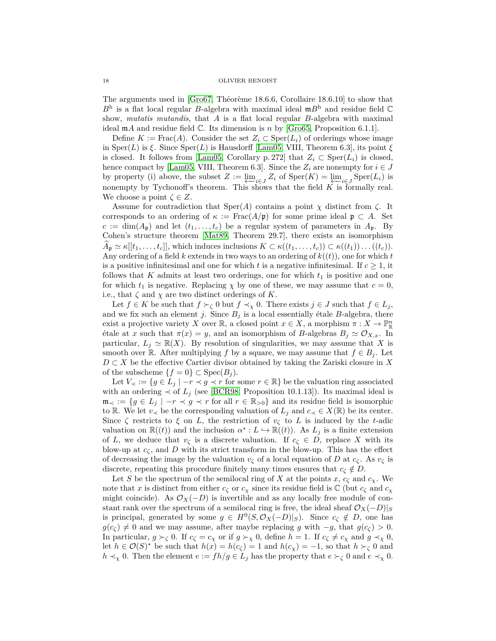The arguments used in [\[Gro67,](#page-19-23) Théorème 18.6.6, Corollaire 18.6.10] to show that *B*<sup>h</sup> is a flat local regular *B*-algebra with maximal ideal m*B*<sup>h</sup> and residue field C show, *mutatis mutandis*, that *A* is a flat local regular *B*-algebra with maximal ideal m*A* and residue field C. Its dimension is *n* by [\[Gro65,](#page-19-25) Proposition 6.1.1].

Define  $K := \text{Frac}(A)$ . Consider the set  $Z_i \subset \text{Sper}(L_i)$  of orderings whose image in Sper $(L)$  is  $\xi$ . Since  $Sper(L)$  is Hausdorff [\[Lam05,](#page-19-13) VIII, Theorem 6.3], its point  $\xi$ is closed. It follows from [\[Lam05,](#page-19-13) Corollary p. 272] that  $Z_i \subset \text{Sper}(L_i)$  is closed, hence compact by [\[Lam05,](#page-19-13) VIII, Theorem 6.3]. Since the  $Z_i$  are nonempty for  $i \in J$ by property (i) above, the subset  $Z := \lim_{i \in J} Z_i$  of  $\text{Sper}(K) = \lim_{i \in J} \text{Sper}(L_i)$  is nonempty by Tychonoff's theorem. This shows that the field  $K$  is formally real. We choose a point  $\zeta \in Z$ .

Assume for contradiction that Sper(*A*) contains a point *χ* distinct from *ζ*. It corresponds to an ordering of  $\kappa := \text{Frac}(A/\mathfrak{p})$  for some prime ideal  $\mathfrak{p} \subset A$ . Set  $c := \dim(A_p)$  and let  $(t_1, \ldots, t_c)$  be a regular system of parameters in  $A_p$ . By Cohen's structure theorem [\[Mat89,](#page-19-18) Theorem 29.7], there exists an isomorphism  $A_{\mathbf{p}} \simeq \kappa[[t_1,\ldots,t_c]],$  which induces inclusions  $K \subset \kappa((t_1,\ldots,t_c)) \subset \kappa((t_1))\ldots((t_c)).$ Any ordering of a field  $k$  extends in two ways to an ordering of  $k((t))$ , one for which  $t$ is a positive infinitesimal and one for which  $t$  is a negative infinitesimal. If  $c \geq 1$ , it follows that  $K$  admits at least two orderings, one for which  $t_1$  is positive and one for which  $t_1$  is negative. Replacing  $\chi$  by one of these, we may assume that  $c = 0$ , i.e., that  $\zeta$  and  $\chi$  are two distinct orderings of *K*.

Let  $f \in K$  be such that  $f \succ_{\zeta} 0$  but  $f \prec_{\chi} 0$ . There exists  $j \in J$  such that  $f \in L_j$ , and we fix such an element *j*. Since  $B_j$  is a local essentially étale *B*-algebra, there exist a projective variety *X* over  $\mathbb{R}$ , a closed point  $x \in X$ , a morphism  $\pi : X \to \mathbb{P}_{\mathbb{R}}^n$ έtale at *x* such that  $π(x) = y$ , and an isomorphism of *B*-algebras  $B_j \simeq \mathcal{O}_{X,x}$ . In particular,  $L_j \simeq \mathbb{R}(X)$ . By resolution of singularities, we may assume that X is smooth over R. After multiplying *f* by a square, we may assume that  $f \in B_i$ . Let *D* ⊂ *X* be the effective Cartier divisor obtained by taking the Zariski closure in *X* of the subscheme  ${f = 0} \subset \text{Spec}(B_i)$ .

Let  $V_\prec := \{ g \in L_j \mid -r \prec g \prec r \text{ for some } r \in \mathbb{R} \}$  be the valuation ring associated with an ordering  $\prec$  of  $L_j$  (see [\[BCR98,](#page-18-3) Proposition 10.1.13]). Its maximal ideal is  $\mathfrak{m}_{\prec} := \{ g \in L_j \mid -r \prec g \prec r \text{ for all } r \in \mathbb{R}_{>0} \}$  and its residue field is isomorphic to R. We let  $v \lt \in \mathbb{R}$  be the corresponding valuation of  $L_j$  and  $c \lt \in X(\mathbb{R})$  be its center. Since  $\zeta$  restricts to  $\xi$  on *L*, the restriction of  $v_{\zeta}$  to *L* is induced by the *t*-adic valuation on  $\mathbb{R}((t))$  and the inclusion  $\alpha^*: L \hookrightarrow \mathbb{R}((t))$ . As  $L_j$  is a finite extension of *L*, we deduce that  $v_\zeta$  is a discrete valuation. If  $c_\zeta \in D$ , replace X with its blow-up at  $c_{\zeta}$ , and D with its strict transform in the blow-up. This has the effect of decreasing the image by the valuation  $v_{\zeta}$  of a local equation of *D* at  $c_{\zeta}$ . As  $v_{\zeta}$  is discrete, repeating this procedure finitely many times ensures that  $c_\zeta \notin D$ .

Let *S* be the spectrum of the semilocal ring of *X* at the points *x*,  $c_{\zeta}$  and  $c_{\chi}$ . We note that *x* is distinct from either  $c_{\zeta}$  or  $c_{\chi}$  since its residue field is  $\mathbb{C}$  (but  $c_{\zeta}$  and  $c_{\chi}$ might coincide). As  $\mathcal{O}_X(-D)$  is invertible and as any locally free module of constant rank over the spectrum of a semilocal ring is free, the ideal sheaf  $\mathcal{O}_X(-D)|_S$ is principal, generated by some  $g \in H^0(S, \mathcal{O}_X(-D)|_S)$ . Since  $c_{\zeta} \notin D$ , one has *g*( $c$ *ζ*) ≠ 0 and we may assume, after maybe replacing *g* with −*g*, that  $g(c$ <sup>*ζ*</sup> > 0. In particular,  $g \succ_\zeta 0$ . If  $c_\zeta = c_\chi$  or if  $g \succ_\chi 0$ , define  $h = 1$ . If  $c_\zeta \neq c_\chi$  and  $g \prec_\chi 0$ , let  $h \in \mathcal{O}(S)^*$  be such that  $h(x) = h(c_\zeta) = 1$  and  $h(c_\chi) = -1$ , so that  $h \succ_\zeta 0$  and *h*  $\prec$ *χ* 0. Then the element  $e := fh/g \in L_j$  has the property that  $e \succ_\zeta 0$  and  $e \prec_\chi 0$ .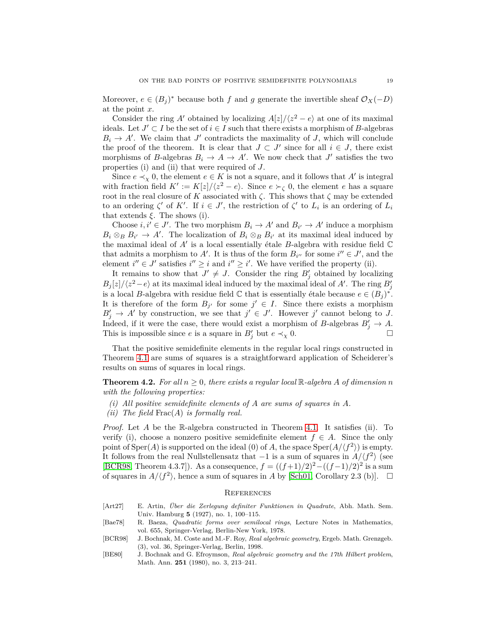Moreover,  $e \in (B_j)^*$  because both *f* and *g* generate the invertible sheaf  $\mathcal{O}_X(-D)$ at the point *x*.

Consider the ring *A*<sup> $\prime$ </sup> obtained by localizing  $A[z]/\langle z^2 - e \rangle$  at one of its maximal ideals. Let  $J' \subset I$  be the set of  $i \in I$  such that there exists a morphism of *B*-algebras  $B_i \to A'$ . We claim that *J*<sup> $\prime$ </sup> contradicts the maximality of *J*, which will conclude the proof of the theorem. It is clear that  $J \subset J'$  since for all  $i \in J$ , there exist morphisms of *B*-algebras  $B_i \to A \to A'$ . We now check that *J'* satisfies the two properties (i) and (ii) that were required of *J*.

Since  $e \prec_{\chi} 0$ , the element  $e \in K$  is not a square, and it follows that  $A'$  is integral with fraction field  $K' := K[z]/\langle z^2 - e \rangle$ . Since  $e \succ_{\zeta} 0$ , the element *e* has a square root in the real closure of *K* associated with  $\zeta$ . This shows that  $\zeta$  may be extended to an ordering  $\zeta'$  of  $K'$ . If  $i \in J'$ , the restriction of  $\zeta'$  to  $L_i$  is an ordering of  $L_i$ that extends  $\xi$ . The shows (i).

Choose  $i, i' \in J'$ . The two morphism  $B_i \to A'$  and  $B_{i'} \to A'$  induce a morphism  $B_i \otimes_B B_{i'} \to A'$ . The localization of  $B_i \otimes_B B_{i'}$  at its maximal ideal induced by the maximal ideal of  $A'$  is a local essentially étale  $B$ -algebra with residue field  $\mathbb C$ that admits a morphism to  $A'$ . It is thus of the form  $B_{i''}$  for some  $i'' \in J'$ , and the element  $i'' \in J'$  satisfies  $i'' \geq i$  and  $i'' \geq i'$ . We have verified the property (ii).

It remains to show that  $J' \neq J$ . Consider the ring  $B'_{j}$  obtained by localizing  $B_j[z]/\langle z^2 - e \rangle$  at its maximal ideal induced by the maximal ideal of *A'*. The ring  $B'_j$ is a local *B*-algebra with residue field  $\mathbb C$  that is essentially étale because  $e \in (B_j)^*$ . It is therefore of the form  $B_{j'}$  for some  $j' \in I$ . Since there exists a morphism  $B'_j \to A'$  by construction, we see that  $j' \in J'$ . However  $j'$  cannot belong to *J*. Indeed, if it were the case, there would exist a morphism of *B*-algebras  $B'_j \to A$ . This is impossible since *e* is a square in  $B'_j$  but  $e \prec_\chi 0$ .

That the positive semidefinite elements in the regular local rings constructed in Theorem [4.1](#page-16-1) are sums of squares is a straightforward application of Scheiderer's results on sums of squares in local rings.

<span id="page-18-2"></span>**Theorem 4.2.** For all  $n \geq 0$ , there exists a regular local  $\mathbb{R}$ -algebra A of dimension n *with the following properties:*

- *(i) All positive semidefinite elements of A are sums of squares in A.*
- *(ii) The field* Frac(*A*) *is formally real.*

*Proof.* Let *A* be the R-algebra constructed in Theorem [4.1.](#page-16-1) It satisfies (ii). To verify (i), choose a nonzero positive semidefinite element  $f \in A$ . Since the only point of  $Sper(A)$  is supported on the ideal (0) of A, the space  $Sper(A/\langle f^2 \rangle)$  is empty. It follows from the real Nullstellensatz that  $-1$  is a sum of squares in  $A/\langle f^2 \rangle$  (see [\[BCR98,](#page-18-3) Theorem 4.3.7]). As a consequence,  $f = ((f+1)/2)^2 - ((f-1)/2)^2$  is a sum of squares in  $A/\langle f^2 \rangle$ , hence a sum of squares in *A* by [\[Sch01,](#page-19-6) Corollary 2.3 (b)].  $\square$ 

### **REFERENCES**

- <span id="page-18-0"></span>[Art27] E. Artin, *Über die Zerlegung definiter Funktionen in Quadrate*, Abh. Math. Sem. Univ. Hamburg **5** (1927), no. 1, 100–115.
- <span id="page-18-4"></span>[Bae78] R. Baeza, *Quadratic forms over semilocal rings*, Lecture Notes in Mathematics, vol. 655, Springer-Verlag, Berlin-New York, 1978.
- <span id="page-18-3"></span>[BCR98] J. Bochnak, M. Coste and M.-F. Roy, *Real algebraic geometry*, Ergeb. Math. Grenzgeb. (3), vol. 36, Springer-Verlag, Berlin, 1998.
- <span id="page-18-1"></span>[BE80] J. Bochnak and G. Efroymson, *Real algebraic geometry and the 17th Hilbert problem*, Math. Ann. **251** (1980), no. 3, 213–241.